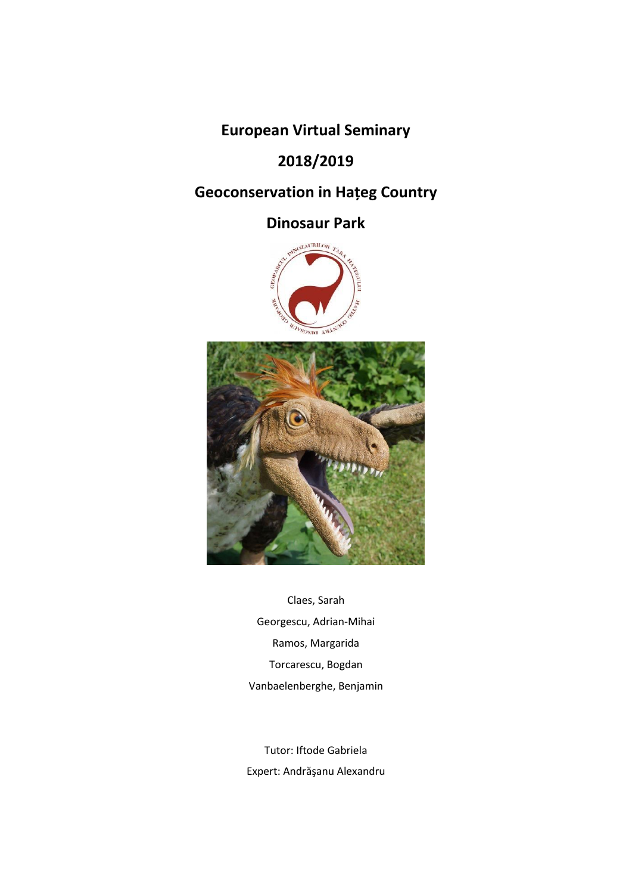**European Virtual Seminary**

# **2018/2019**

# **Geoconservation in Hațeg Country**

# **Dinosaur Park**





Claes, Sarah Georgescu, Adrian-Mihai Ramos, Margarida Torcarescu, Bogdan Vanbaelenberghe, Benjamin

Tutor: Iftode Gabriela Expert: Andrăşanu Alexandru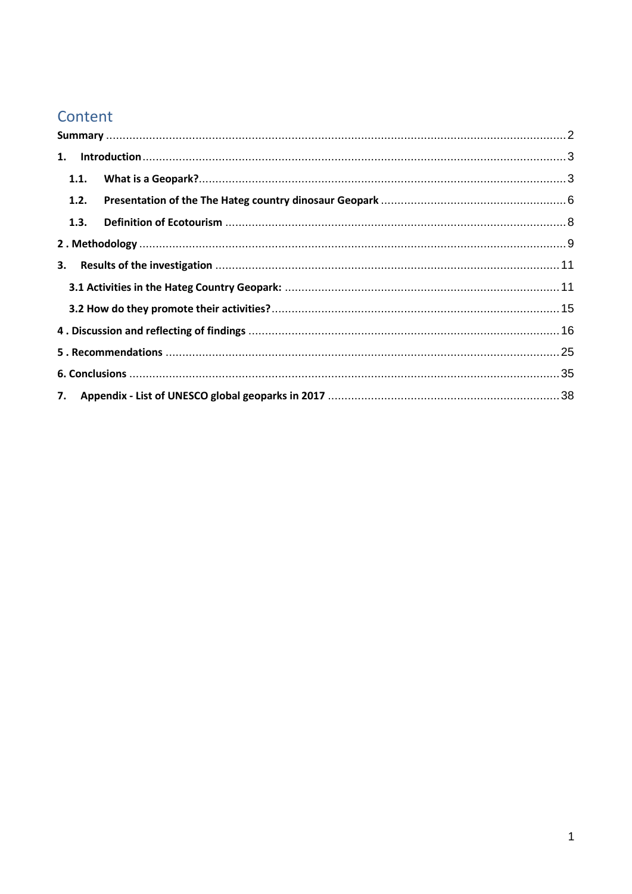# Content

|  | 1.1. |  |  |
|--|------|--|--|
|  | 1.2. |  |  |
|  | 1.3. |  |  |
|  |      |  |  |
|  |      |  |  |
|  |      |  |  |
|  |      |  |  |
|  |      |  |  |
|  |      |  |  |
|  |      |  |  |
|  |      |  |  |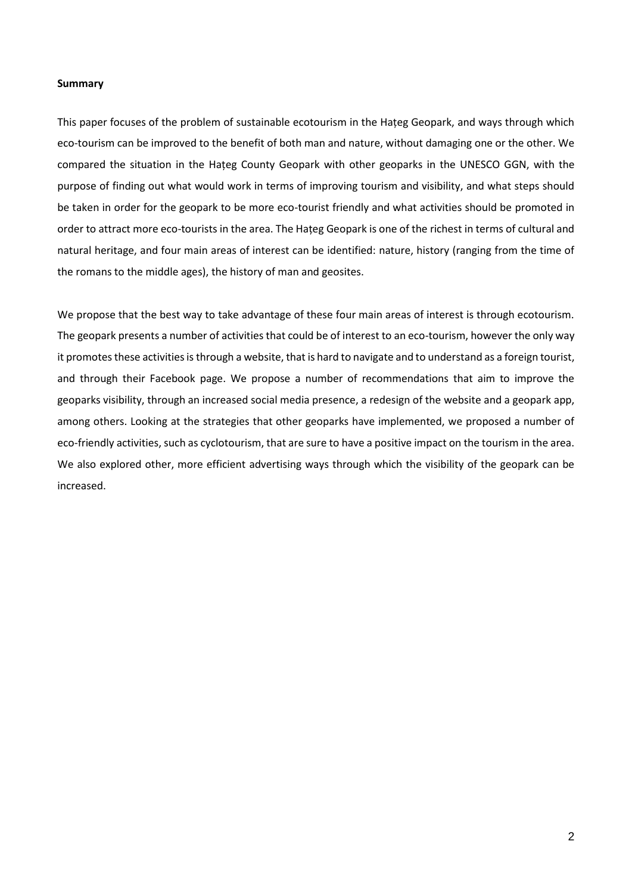#### <span id="page-2-0"></span>**Summary**

This paper focuses of the problem of sustainable ecotourism in the Hațeg Geopark, and ways through which eco-tourism can be improved to the benefit of both man and nature, without damaging one or the other. We compared the situation in the Hațeg County Geopark with other geoparks in the UNESCO GGN, with the purpose of finding out what would work in terms of improving tourism and visibility, and what steps should be taken in order for the geopark to be more eco-tourist friendly and what activities should be promoted in order to attract more eco-tourists in the area. The Hațeg Geopark is one of the richest in terms of cultural and natural heritage, and four main areas of interest can be identified: nature, history (ranging from the time of the romans to the middle ages), the history of man and geosites.

We propose that the best way to take advantage of these four main areas of interest is through ecotourism. The geopark presents a number of activities that could be of interest to an eco-tourism, however the only way it promotes these activities is through a website, that is hard to navigate and to understand as a foreign tourist, and through their Facebook page. We propose a number of recommendations that aim to improve the geoparks visibility, through an increased social media presence, a redesign of the website and a geopark app, among others. Looking at the strategies that other geoparks have implemented, we proposed a number of eco-friendly activities, such as cyclotourism, that are sure to have a positive impact on the tourism in the area. We also explored other, more efficient advertising ways through which the visibility of the geopark can be increased.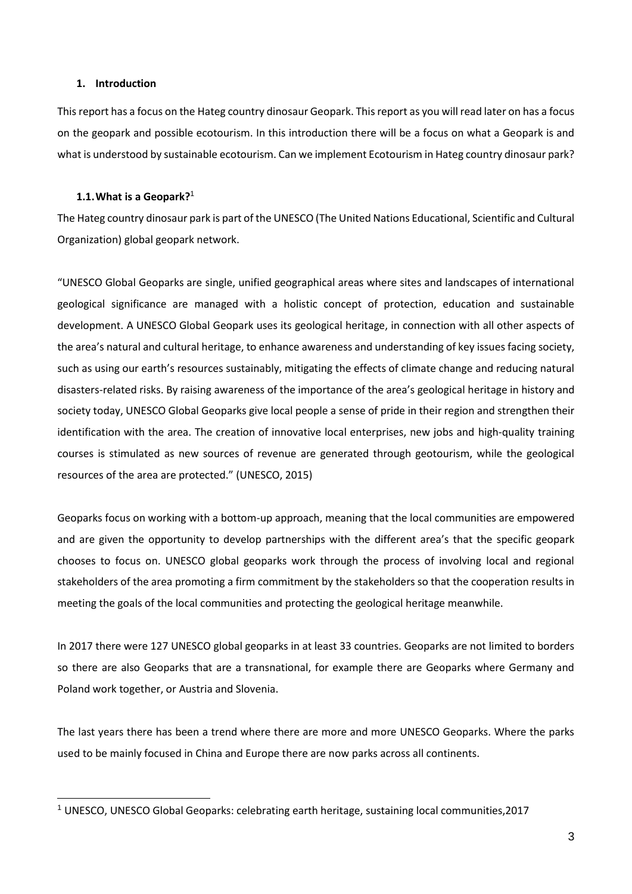#### <span id="page-3-0"></span>**1. Introduction**

This report has a focus on the Hateg country dinosaur Geopark. This report as you will read later on has a focus on the geopark and possible ecotourism. In this introduction there will be a focus on what a Geopark is and what is understood by sustainable ecotourism. Can we implement Ecotourism in Hateg country dinosaur park?

# <span id="page-3-1"></span>**1.1.What is a Geopark?**<sup>1</sup>

-

The Hateg country dinosaur park is part of the UNESCO (The United Nations Educational, Scientific and Cultural Organization) global geopark network.

"UNESCO Global Geoparks are single, unified geographical areas where sites and landscapes of international geological significance are managed with a holistic concept of protection, education and sustainable development. A UNESCO Global Geopark uses its geological heritage, in connection with all other aspects of the area's natural and cultural heritage, to enhance awareness and understanding of key issues facing society, such as using our earth's resources sustainably, mitigating the effects of climate change and reducing natural disasters-related risks. By raising awareness of the importance of the area's geological heritage in history and society today, UNESCO Global Geoparks give local people a sense of pride in their region and strengthen their identification with the area. The creation of innovative local enterprises, new jobs and high-quality training courses is stimulated as new sources of revenue are generated through geotourism, while the geological resources of the area are protected." (UNESCO, 2015)

Geoparks focus on working with a bottom-up approach, meaning that the local communities are empowered and are given the opportunity to develop partnerships with the different area's that the specific geopark chooses to focus on. UNESCO global geoparks work through the process of involving local and regional stakeholders of the area promoting a firm commitment by the stakeholders so that the cooperation results in meeting the goals of the local communities and protecting the geological heritage meanwhile.

In 2017 there were 127 UNESCO global geoparks in at least 33 countries. Geoparks are not limited to borders so there are also Geoparks that are a transnational, for example there are Geoparks where Germany and Poland work together, or Austria and Slovenia.

The last years there has been a trend where there are more and more UNESCO Geoparks. Where the parks used to be mainly focused in China and Europe there are now parks across all continents.

<sup>1</sup> UNESCO, UNESCO Global Geoparks: celebrating earth heritage, sustaining local communities,2017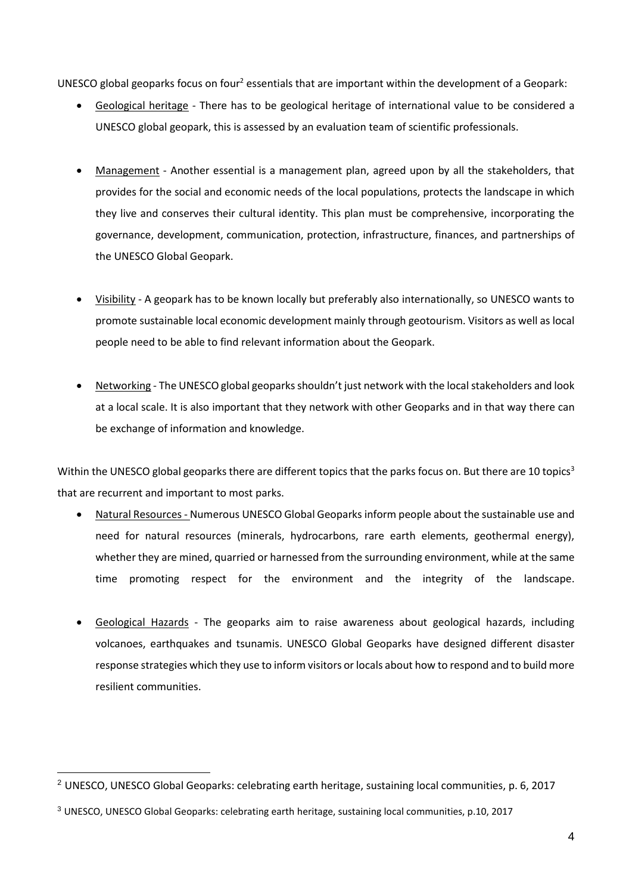UNESCO global geoparks focus on four<sup>2</sup> essentials that are important within the development of a Geopark:

- Geological heritage There has to be geological heritage of international value to be considered a UNESCO global geopark, this is assessed by an evaluation team of scientific professionals.
- Management Another essential is a management plan, agreed upon by all the stakeholders, that provides for the social and economic needs of the local populations, protects the landscape in which they live and conserves their cultural identity. This plan must be comprehensive, incorporating the governance, development, communication, protection, infrastructure, finances, and partnerships of the UNESCO Global Geopark.
- Visibility A geopark has to be known locally but preferably also internationally, so UNESCO wants to promote sustainable local economic development mainly through geotourism. Visitors as well as local people need to be able to find relevant information about the Geopark.
- Networking The UNESCO global geoparks shouldn't just network with the local stakeholders and look at a local scale. It is also important that they network with other Geoparks and in that way there can be exchange of information and knowledge.

Within the UNESCO global geoparks there are different topics that the parks focus on. But there are 10 topics<sup>3</sup> that are recurrent and important to most parks.

- Natural Resources- Numerous UNESCO Global Geoparks inform people about the sustainable use and need for natural resources (minerals, hydrocarbons, rare earth elements, geothermal energy), whether they are mined, quarried or harnessed from the surrounding environment, while at the same time promoting respect for the environment and the integrity of the landscape.
- Geological Hazards The geoparks aim to raise awareness about geological hazards, including volcanoes, earthquakes and tsunamis. UNESCO Global Geoparks have designed different disaster response strategies which they use to inform visitors or locals about how to respond and to build more resilient communities.

<sup>&</sup>lt;sup>2</sup> UNESCO, UNESCO Global Geoparks: celebrating earth heritage, sustaining local communities, p. 6, 2017

<sup>3</sup> UNESCO, UNESCO Global Geoparks: celebrating earth heritage, sustaining local communities, p.10, 2017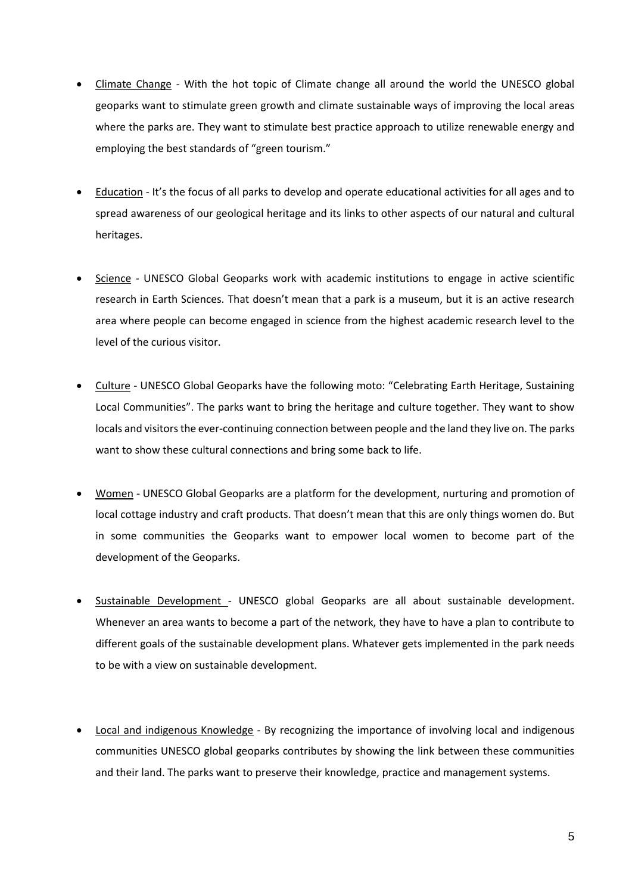- Climate Change With the hot topic of Climate change all around the world the UNESCO global geoparks want to stimulate green growth and climate sustainable ways of improving the local areas where the parks are. They want to stimulate best practice approach to utilize renewable energy and employing the best standards of "green tourism."
- Education It's the focus of all parks to develop and operate educational activities for all ages and to spread awareness of our geological heritage and its links to other aspects of our natural and cultural heritages.
- Science UNESCO Global Geoparks work with academic institutions to engage in active scientific research in Earth Sciences. That doesn't mean that a park is a museum, but it is an active research area where people can become engaged in science from the highest academic research level to the level of the curious visitor.
- Culture UNESCO Global Geoparks have the following moto: "Celebrating Earth Heritage, Sustaining Local Communities". The parks want to bring the heritage and culture together. They want to show locals and visitors the ever-continuing connection between people and the land they live on. The parks want to show these cultural connections and bring some back to life.
- Women UNESCO Global Geoparks are a platform for the development, nurturing and promotion of local cottage industry and craft products. That doesn't mean that this are only things women do. But in some communities the Geoparks want to empower local women to become part of the development of the Geoparks.
- Sustainable Development UNESCO global Geoparks are all about sustainable development. Whenever an area wants to become a part of the network, they have to have a plan to contribute to different goals of the sustainable development plans. Whatever gets implemented in the park needs to be with a view on sustainable development.
- Local and indigenous Knowledge By recognizing the importance of involving local and indigenous communities UNESCO global geoparks contributes by showing the link between these communities and their land. The parks want to preserve their knowledge, practice and management systems.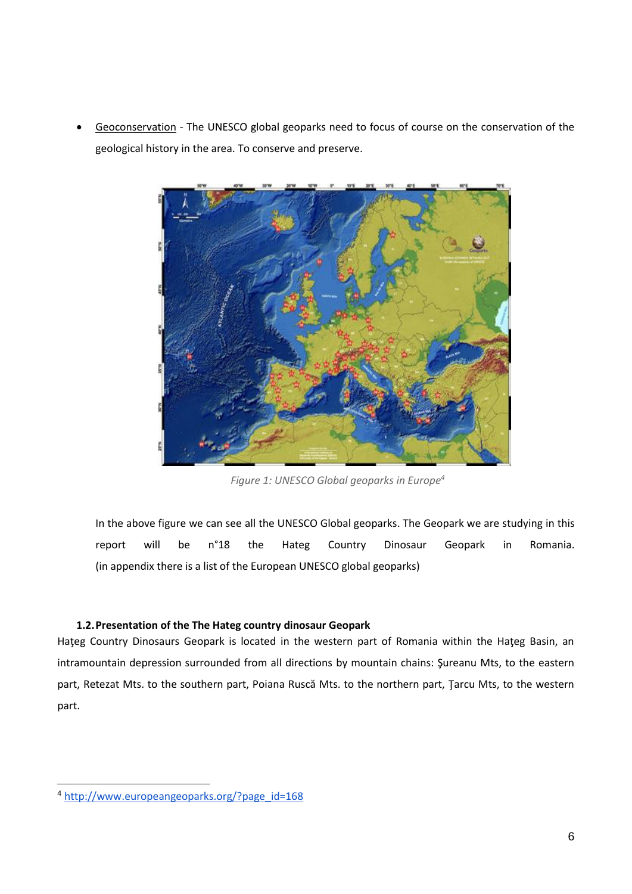Geoconservation - The UNESCO global geoparks need to focus of course on the conservation of the geological history in the area. To conserve and preserve.



*Figure 1: UNESCO Global geoparks in Europe<sup>4</sup>*

In the above figure we can see all the UNESCO Global geoparks. The Geopark we are studying in this report will be n°18 the Hateg Country Dinosaur Geopark in Romania. (in appendix there is a list of the European UNESCO global geoparks)

# **1.2.Presentation of the The Hateg country dinosaur Geopark**

<span id="page-6-0"></span>Haţeg Country Dinosaurs Geopark is located in the western part of Romania within the Haţeg Basin, an intramountain depression surrounded from all directions by mountain chains: Şureanu Mts, to the eastern part, Retezat Mts. to the southern part, Poiana Ruscă Mts. to the northern part, Ţarcu Mts, to the western part.

 $\overline{a}$ 

<sup>4</sup> [http://www.europeangeoparks.org/?page\\_id=168](http://www.europeangeoparks.org/?page_id=168)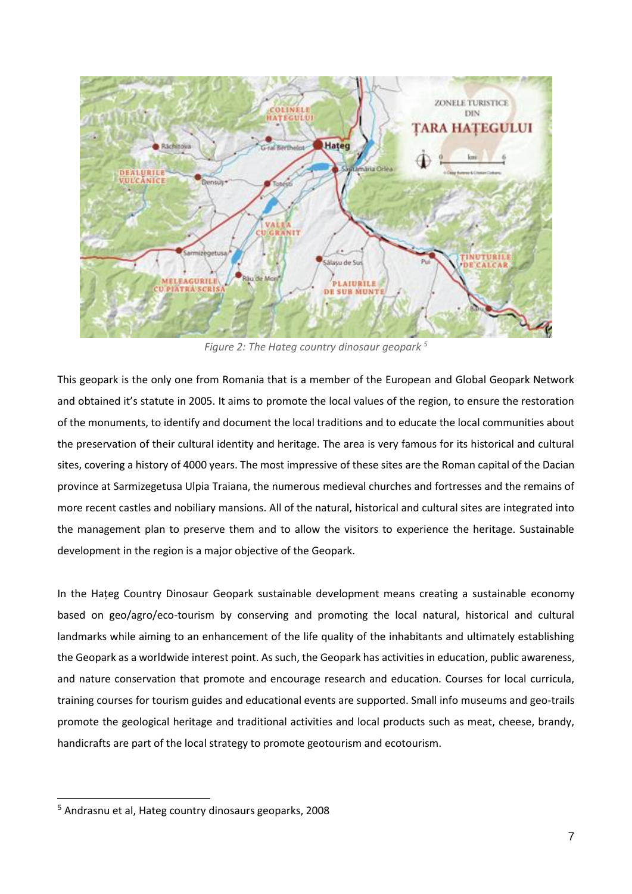

*Figure 2: The Hateg country dinosaur geopark <sup>5</sup>*

This geopark is the only one from Romania that is a member of the European and Global Geopark Network and obtained it's statute in 2005. It aims to promote the local values of the region, to ensure the restoration of the monuments, to identify and document the local traditions and to educate the local communities about the preservation of their cultural identity and heritage. The area is very famous for its historical and cultural sites, covering a history of 4000 years. The most impressive of these sites are the Roman capital of the Dacian province at Sarmizegetusa Ulpia Traiana, the numerous medieval churches and fortresses and the remains of more recent castles and nobiliary mansions. All of the natural, historical and cultural sites are integrated into the management plan to preserve them and to allow the visitors to experience the heritage. Sustainable development in the region is a major objective of the Geopark.

In the Hațeg Country Dinosaur Geopark sustainable development means creating a sustainable economy based on geo/agro/eco-tourism by conserving and promoting the local natural, historical and cultural landmarks while aiming to an enhancement of the life quality of the inhabitants and ultimately establishing the Geopark as a worldwide interest point. As such, the Geopark has activities in education, public awareness, and nature conservation that promote and encourage research and education. Courses for local curricula, training courses for tourism guides and educational events are supported. Small info museums and geo-trails promote the geological heritage and traditional activities and local products such as meat, cheese, brandy, handicrafts are part of the local strategy to promote geotourism and ecotourism.

<sup>5</sup> Andrasnu et al, Hateg country dinosaurs geoparks, 2008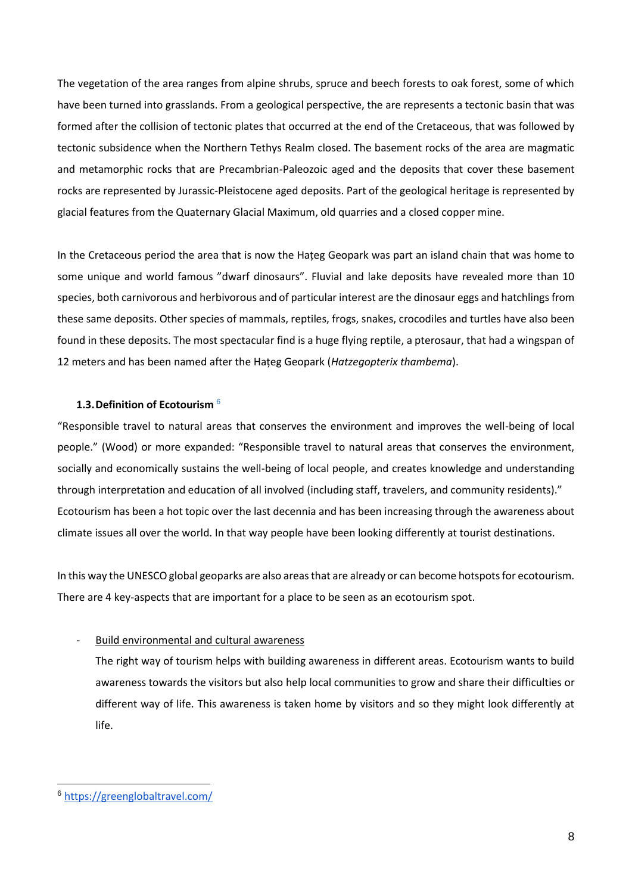The vegetation of the area ranges from alpine shrubs, spruce and beech forests to oak forest, some of which have been turned into grasslands. From a geological perspective, the are represents a tectonic basin that was formed after the collision of tectonic plates that occurred at the end of the Cretaceous, that was followed by tectonic subsidence when the Northern Tethys Realm closed. The basement rocks of the area are magmatic and metamorphic rocks that are Precambrian-Paleozoic aged and the deposits that cover these basement rocks are represented by Jurassic-Pleistocene aged deposits. Part of the geological heritage is represented by glacial features from the Quaternary Glacial Maximum, old quarries and a closed copper mine.

In the Cretaceous period the area that is now the Hațeg Geopark was part an island chain that was home to some unique and world famous "dwarf dinosaurs". Fluvial and lake deposits have revealed more than 10 species, both carnivorous and herbivorous and of particular interest are the dinosaur eggs and hatchlings from these same deposits. Other species of mammals, reptiles, frogs, snakes, crocodiles and turtles have also been found in these deposits. The most spectacular find is a huge flying reptile, a pterosaur, that had a wingspan of 12 meters and has been named after the Hațeg Geopark (*Hatzegopterix thambema*).

# <span id="page-8-0"></span>**1.3.Definition of Ecotourism** <sup>6</sup>

"Responsible travel to natural areas that conserves the environment and improves the well-being of local people." (Wood) or more expanded: "Responsible travel to natural areas that conserves the environment, socially and economically sustains the well-being of local people, and creates knowledge and understanding through interpretation and education of all involved (including staff, travelers, and community residents)." Ecotourism has been a hot topic over the last decennia and has been increasing through the awareness about climate issues all over the world. In that way people have been looking differently at tourist destinations.

In this way the UNESCO global geoparks are also areas that are already or can become hotspots for ecotourism. There are 4 key-aspects that are important for a place to be seen as an ecotourism spot.

# Build environmental and cultural awareness

The right way of tourism helps with building awareness in different areas. Ecotourism wants to build awareness towards the visitors but also help local communities to grow and share their difficulties or different way of life. This awareness is taken home by visitors and so they might look differently at life.

 $\overline{a}$ 

<sup>6</sup> <https://greenglobaltravel.com/>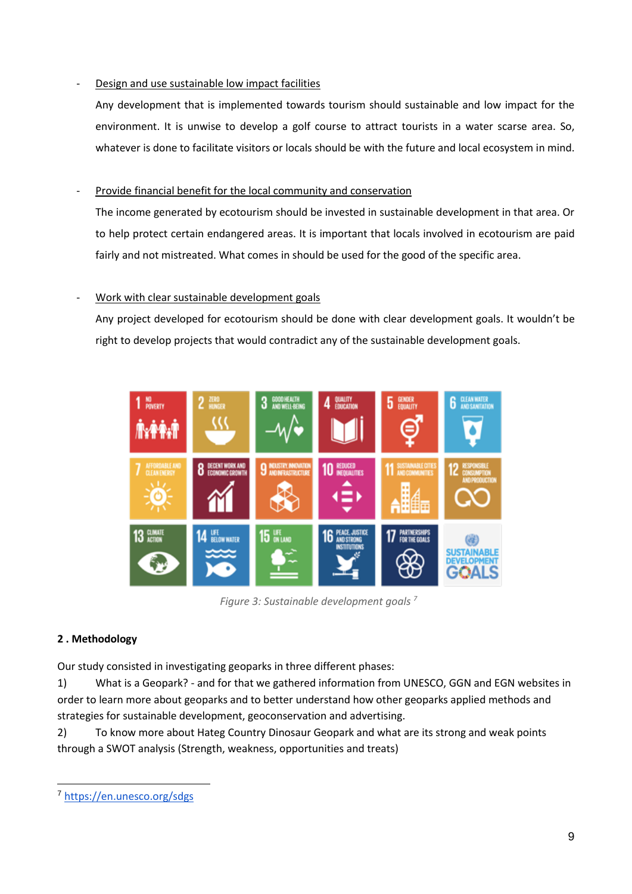# Design and use sustainable low impact facilities

Any development that is implemented towards tourism should sustainable and low impact for the environment. It is unwise to develop a golf course to attract tourists in a water scarse area. So, whatever is done to facilitate visitors or locals should be with the future and local ecosystem in mind.

# Provide financial benefit for the local community and conservation

The income generated by ecotourism should be invested in sustainable development in that area. Or to help protect certain endangered areas. It is important that locals involved in ecotourism are paid fairly and not mistreated. What comes in should be used for the good of the specific area.

# Work with clear sustainable development goals

Any project developed for ecotourism should be done with clear development goals. It wouldn't be right to develop projects that would contradict any of the sustainable development goals.



*Figure 3: Sustainable development goals <sup>7</sup>*

# <span id="page-9-0"></span>**2 . Methodology**

Our study consisted in investigating geoparks in three different phases:

1) What is a Geopark? - and for that we gathered information from UNESCO, GGN and EGN websites in order to learn more about geoparks and to better understand how other geoparks applied methods and strategies for sustainable development, geoconservation and advertising.

2) To know more about Hateg Country Dinosaur Geopark and what are its strong and weak points through a SWOT analysis (Strength, weakness, opportunities and treats)

 $\overline{a}$ <sup>7</sup> <https://en.unesco.org/sdgs>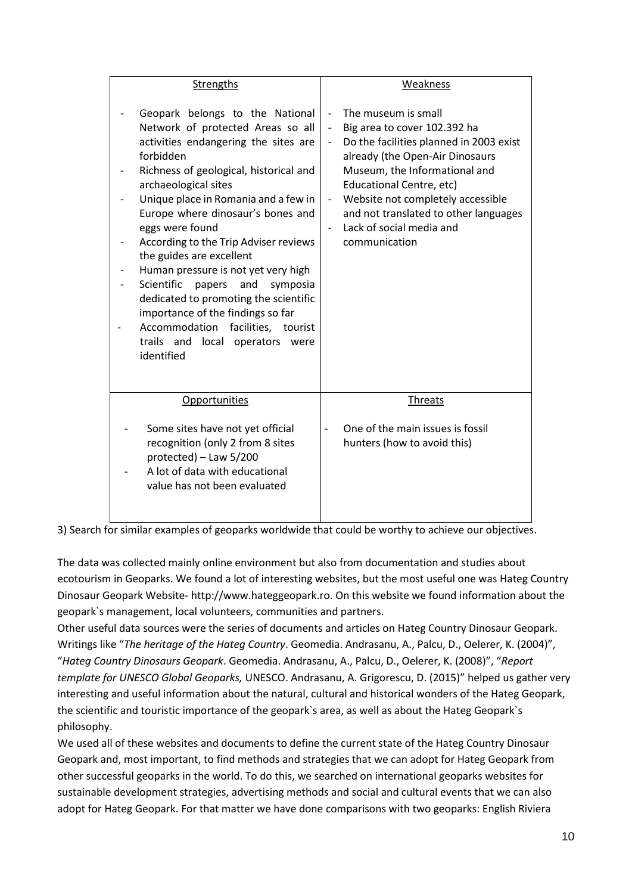| <b>Strengths</b>                                                                                                                                                                                                                                                                                                                                                                                                                                                                                                                                                                                                             | Weakness                                                                                                                                                                                                                                                                                                                                                                                                      |
|------------------------------------------------------------------------------------------------------------------------------------------------------------------------------------------------------------------------------------------------------------------------------------------------------------------------------------------------------------------------------------------------------------------------------------------------------------------------------------------------------------------------------------------------------------------------------------------------------------------------------|---------------------------------------------------------------------------------------------------------------------------------------------------------------------------------------------------------------------------------------------------------------------------------------------------------------------------------------------------------------------------------------------------------------|
|                                                                                                                                                                                                                                                                                                                                                                                                                                                                                                                                                                                                                              |                                                                                                                                                                                                                                                                                                                                                                                                               |
| Geopark belongs to the National<br>Network of protected Areas so all<br>activities endangering the sites are<br>forbidden<br>Richness of geological, historical and<br>archaeological sites<br>Unique place in Romania and a few in<br>Europe where dinosaur's bones and<br>eggs were found<br>According to the Trip Adviser reviews<br>the guides are excellent<br>Human pressure is not yet very high<br>Scientific<br>and<br>symposia<br>papers<br>dedicated to promoting the scientific<br>importance of the findings so far<br>Accommodation<br>facilities, tourist<br>trails and local operators<br>were<br>identified | The museum is small<br>$\overline{\phantom{0}}$<br>Big area to cover 102.392 ha<br>$\overline{\phantom{a}}$<br>Do the facilities planned in 2003 exist<br>$\overline{\phantom{0}}$<br>already (the Open-Air Dinosaurs<br>Museum, the Informational and<br>Educational Centre, etc)<br>Website not completely accessible<br>and not translated to other languages<br>Lack of social media and<br>communication |
| Opportunities                                                                                                                                                                                                                                                                                                                                                                                                                                                                                                                                                                                                                | <b>Threats</b>                                                                                                                                                                                                                                                                                                                                                                                                |
| Some sites have not yet official<br>recognition (only 2 from 8 sites<br>protected) - Law 5/200<br>A lot of data with educational<br>value has not been evaluated                                                                                                                                                                                                                                                                                                                                                                                                                                                             | One of the main issues is fossil<br>hunters (how to avoid this)                                                                                                                                                                                                                                                                                                                                               |

3) Search for similar examples of geoparks worldwide that could be worthy to achieve our objectives.

The data was collected mainly online environment but also from documentation and studies about ecotourism in Geoparks. We found a lot of interesting websites, but the most useful one was Hateg Country Dinosaur Geopark Website- http://www.hateggeopark.ro. On this website we found information about the geopark`s management, local volunteers, communities and partners.

Other useful data sources were the series of documents and articles on Hateg Country Dinosaur Geopark. Writings like "*The heritage of the Hateg Country*. Geomedia. Andrasanu, A., Palcu, D., Oelerer, K. (2004)", "*Hateg Country Dinosaurs Geopark*. Geomedia. Andrasanu, A., Palcu, D., Oelerer, K. (2008)", "*Report template for UNESCO Global Geoparks,* UNESCO. Andrasanu, A. Grigorescu, D. (2015)" helped us gather very interesting and useful information about the natural, cultural and historical wonders of the Hateg Geopark, the scientific and touristic importance of the geopark`s area, as well as about the Hateg Geopark`s philosophy.

We used all of these websites and documents to define the current state of the Hateg Country Dinosaur Geopark and, most important, to find methods and strategies that we can adopt for Hateg Geopark from other successful geoparks in the world. To do this, we searched on international geoparks websites for sustainable development strategies, advertising methods and social and cultural events that we can also adopt for Hateg Geopark. For that matter we have done comparisons with two geoparks: English Riviera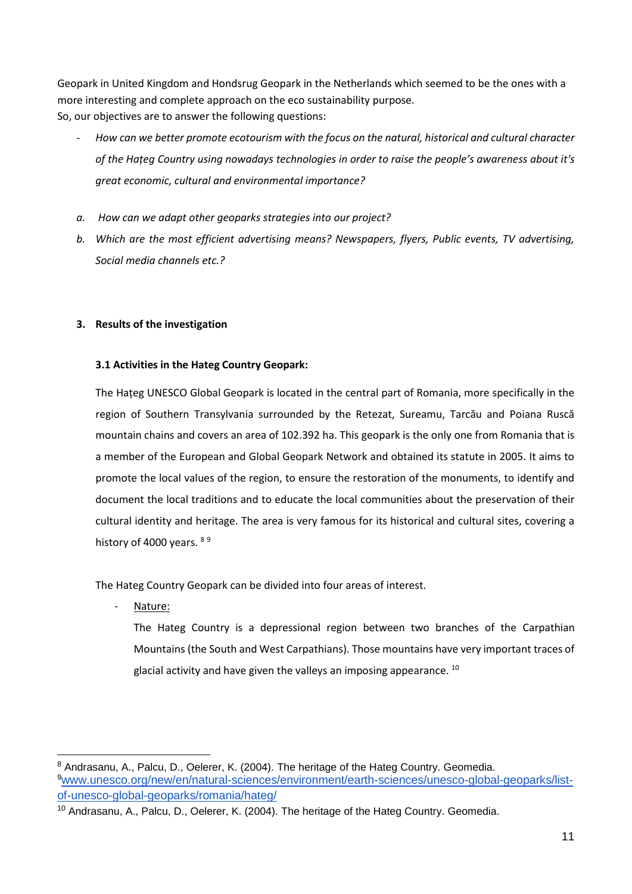Geopark in United Kingdom and Hondsrug Geopark in the Netherlands which seemed to be the ones with a more interesting and complete approach on the eco sustainability purpose. So, our objectives are to answer the following questions:

- *How can we better promote ecotourism with the focus on the natural, historical and cultural character of the Hațeg Country using nowadays technologies in order to raise the people's awareness about it's great economic, cultural and environmental importance?*
- *a. How can we adapt other geoparks strategies into our project?*
- *b. Which are the most efficient advertising means? Newspapers, flyers, Public events, TV advertising, Social media channels etc.?*

# <span id="page-11-1"></span><span id="page-11-0"></span>**3. Results of the investigation**

# **3.1 Activities in the Hateg Country Geopark:**

The Hațeg UNESCO Global Geopark is located in the central part of Romania, more specifically in the region of Southern Transylvania surrounded by the Retezat, Sureamu, Tarcău and Poiana Ruscă mountain chains and covers an area of 102.392 ha. This geopark is the only one from Romania that is a member of the European and Global Geopark Network and obtained its statute in 2005. It aims to promote the local values of the region, to ensure the restoration of the monuments, to identify and document the local traditions and to educate the local communities about the preservation of their cultural identity and heritage. The area is very famous for its historical and cultural sites, covering a history of 4000 years. 89

The Hateg Country Geopark can be divided into four areas of interest.

Nature:

The Hateg Country is a depressional region between two branches of the Carpathian Mountains (the South and West Carpathians). Those mountains have very important traces of glacial activity and have given the valleys an imposing appearance.  $10$ 

<sup>-</sup>8 Andrasanu, A., Palcu, D., Oelerer, K. (2004). The heritage of the Hateg Country. Geomedia. 9[www.unesco.org/new/en/natural-sciences/environment/earth-sciences/unesco-global-geoparks/list](http://www.unesco.org/new/en/natural-sciences/environment/earth-sciences/unesco-global-geoparks/list-of-unesco-global-geoparks/romania/hateg/)[of-unesco-global-geoparks/romania/hateg/](http://www.unesco.org/new/en/natural-sciences/environment/earth-sciences/unesco-global-geoparks/list-of-unesco-global-geoparks/romania/hateg/)

<sup>&</sup>lt;sup>10</sup> Andrasanu, A., Palcu, D., Oelerer, K. (2004). The heritage of the Hateg Country. Geomedia.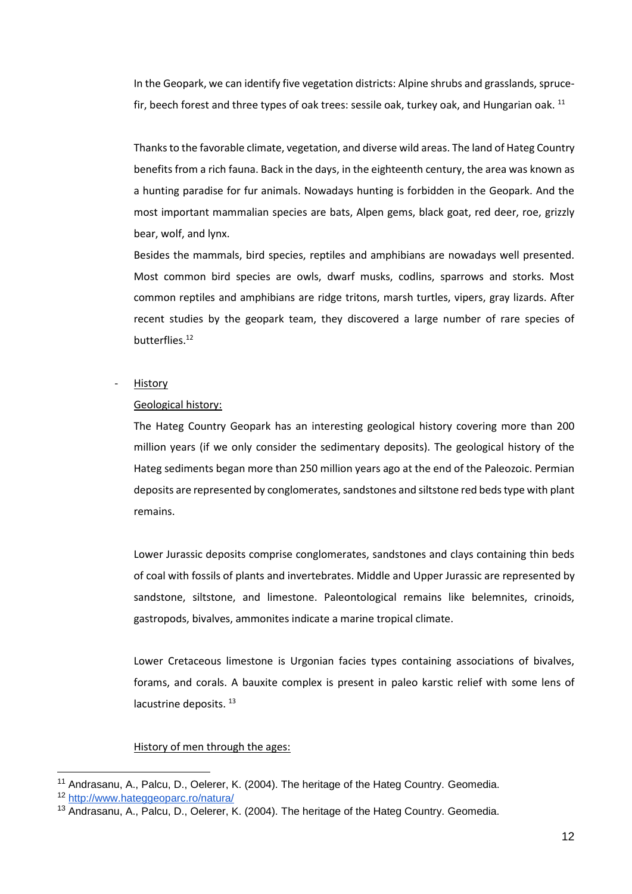In the Geopark, we can identify five vegetation districts: Alpine shrubs and grasslands, sprucefir, beech forest and three types of oak trees: sessile oak, turkey oak, and Hungarian oak.  $^{11}$ 

Thanks to the favorable climate, vegetation, and diverse wild areas. The land of Hateg Country benefits from a rich fauna. Back in the days, in the eighteenth century, the area was known as a hunting paradise for fur animals. Nowadays hunting is forbidden in the Geopark. And the most important mammalian species are bats, Alpen gems, black goat, red deer, roe, grizzly bear, wolf, and lynx.

Besides the mammals, bird species, reptiles and amphibians are nowadays well presented. Most common bird species are owls, dwarf musks, codlins, sparrows and storks. Most common reptiles and amphibians are ridge tritons, marsh turtles, vipers, gray lizards. After recent studies by the geopark team, they discovered a large number of rare species of butterflies.<sup>12</sup>

**History** 

#### Geological history:

The Hateg Country Geopark has an interesting geological history covering more than 200 million years (if we only consider the sedimentary deposits). The geological history of the Hateg sediments began more than 250 million years ago at the end of the Paleozoic. Permian deposits are represented by conglomerates, sandstones and siltstone red beds type with plant remains.

Lower Jurassic deposits comprise conglomerates, sandstones and clays containing thin beds of coal with fossils of plants and invertebrates. Middle and Upper Jurassic are represented by sandstone, siltstone, and limestone. Paleontological remains like belemnites, crinoids, gastropods, bivalves, ammonites indicate a marine tropical climate.

Lower Cretaceous limestone is Urgonian facies types containing associations of bivalves, forams, and corals. A bauxite complex is present in paleo karstic relief with some lens of lacustrine deposits.<sup>13</sup>

#### History of men through the ages:

<sup>&</sup>lt;sup>11</sup> Andrasanu, A., Palcu, D., Oelerer, K. (2004). The heritage of the Hateg Country. Geomedia.

<sup>12</sup> <http://www.hateggeoparc.ro/natura/>

<sup>&</sup>lt;sup>13</sup> Andrasanu, A., Palcu, D., Oelerer, K. (2004). The heritage of the Hateg Country. Geomedia.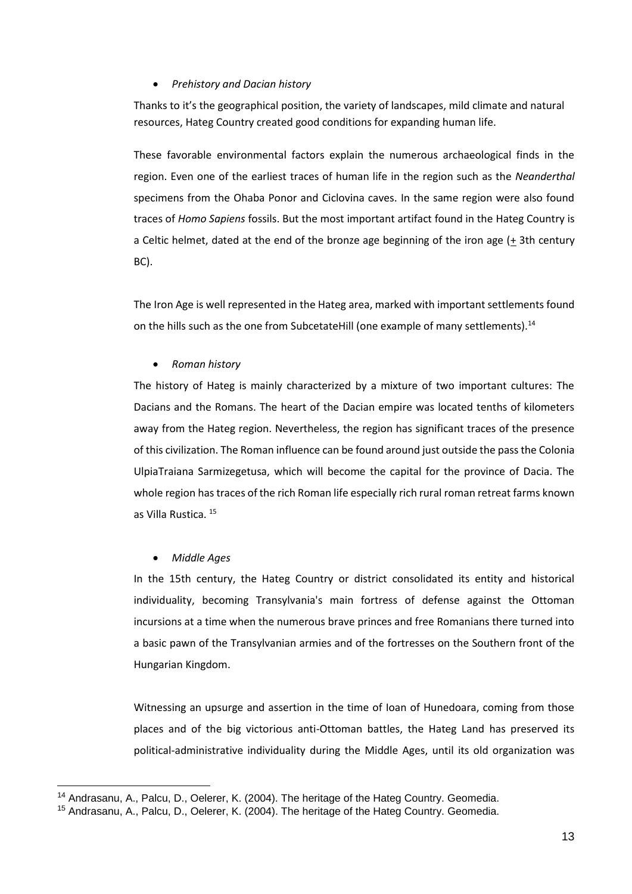## • *Prehistory and Dacian history*

Thanks to it's the geographical position, the variety of landscapes, mild climate and natural resources, Hateg Country created good conditions for expanding human life.

These favorable environmental factors explain the numerous archaeological finds in the region. Even one of the earliest traces of human life in the region such as the *Neanderthal* specimens from the Ohaba Ponor and Ciclovina caves. In the same region were also found traces of *Homo Sapiens* fossils. But the most important artifact found in the Hateg Country is a Celtic helmet, dated at the end of the bronze age beginning of the iron age (+ 3th century BC).

The Iron Age is well represented in the Hateg area, marked with important settlements found on the hills such as the one from SubcetateHill (one example of many settlements).<sup>14</sup>

# • *Roman history*

The history of Hateg is mainly characterized by a mixture of two important cultures: The Dacians and the Romans. The heart of the Dacian empire was located tenths of kilometers away from the Hateg region. Nevertheless, the region has significant traces of the presence of this civilization. The Roman influence can be found around just outside the pass the Colonia UlpiaTraiana Sarmizegetusa, which will become the capital for the province of Dacia. The whole region has traces of the rich Roman life especially rich rural roman retreat farms known as Villa Rustica. <sup>15</sup>

# • *Middle Ages*

-

In the 15th century, the Hateg Country or district consolidated its entity and historical individuality, becoming Transylvania's main fortress of defense against the Ottoman incursions at a time when the numerous brave princes and free Romanians there turned into a basic pawn of the Transylvanian armies and of the fortresses on the Southern front of the Hungarian Kingdom.

Witnessing an upsurge and assertion in the time of Ioan of Hunedoara, coming from those places and of the big victorious anti-Ottoman battles, the Hateg Land has preserved its political-administrative individuality during the Middle Ages, until its old organization was

<sup>&</sup>lt;sup>14</sup> Andrasanu, A., Palcu, D., Oelerer, K. (2004). The heritage of the Hateg Country. Geomedia.

<sup>&</sup>lt;sup>15</sup> Andrasanu, A., Palcu, D., Oelerer, K. (2004). The heritage of the Hateg Country. Geomedia.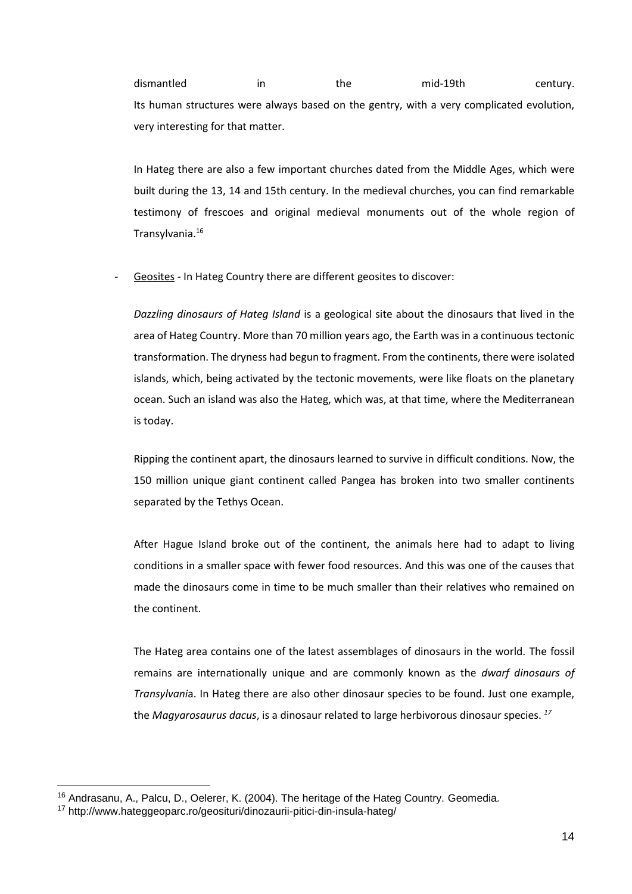dismantled in in the mid-19th century. Its human structures were always based on the gentry, with a very complicated evolution, very interesting for that matter.

In Hateg there are also a few important churches dated from the Middle Ages, which were built during the 13, 14 and 15th century. In the medieval churches, you can find remarkable testimony of frescoes and original medieval monuments out of the whole region of Transylvania.<sup>16</sup>

- Geosites - In Hateg Country there are different geosites to discover:

*Dazzling dinosaurs of Hateg Island* is a geological site about the dinosaurs that lived in the area of Hateg Country. More than 70 million years ago, the Earth was in a continuous tectonic transformation. The dryness had begun to fragment. From the continents, there were isolated islands, which, being activated by the tectonic movements, were like floats on the planetary ocean. Such an island was also the Hateg, which was, at that time, where the Mediterranean is today.

Ripping the continent apart, the dinosaurs learned to survive in difficult conditions. Now, the 150 million unique giant continent called Pangea has broken into two smaller continents separated by the Tethys Ocean.

After Hague Island broke out of the continent, the animals here had to adapt to living conditions in a smaller space with fewer food resources. And this was one of the causes that made the dinosaurs come in time to be much smaller than their relatives who remained on the continent.

The Hateg area contains one of the latest assemblages of dinosaurs in the world. The fossil remains are internationally unique and are commonly known as the *dwarf dinosaurs of Transylvani*a. In Hateg there are also other dinosaur species to be found. Just one example, the *Magyarosaurus dacus*, is a dinosaur related to large herbivorous dinosaur species. *<sup>17</sup>*

<sup>&</sup>lt;sup>16</sup> Andrasanu, A., Palcu, D., Oelerer, K. (2004). The heritage of the Hateg Country. Geomedia.

<sup>17</sup> http://www.hateggeoparc.ro/geosituri/dinozaurii-pitici-din-insula-hateg/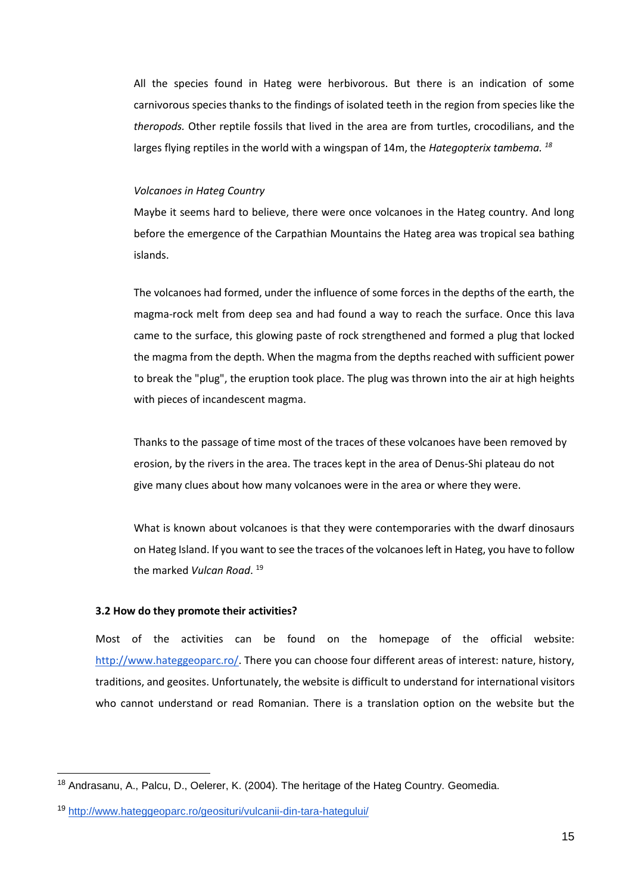All the species found in Hateg were herbivorous. But there is an indication of some carnivorous species thanks to the findings of isolated teeth in the region from species like the *theropods.* Other reptile fossils that lived in the area are from turtles, crocodilians, and the larges flying reptiles in the world with a wingspan of 14m, the *Hategopterix tambema. <sup>18</sup>*

#### *Volcanoes in Hateg Country*

Maybe it seems hard to believe, there were once volcanoes in the Hateg country. And long before the emergence of the Carpathian Mountains the Hateg area was tropical sea bathing islands.

The volcanoes had formed, under the influence of some forces in the depths of the earth, the magma-rock melt from deep sea and had found a way to reach the surface. Once this lava came to the surface, this glowing paste of rock strengthened and formed a plug that locked the magma from the depth. When the magma from the depths reached with sufficient power to break the "plug", the eruption took place. The plug was thrown into the air at high heights with pieces of incandescent magma.

Thanks to the passage of time most of the traces of these volcanoes have been removed by erosion, by the rivers in the area. The traces kept in the area of Denus-Shi plateau do not give many clues about how many volcanoes were in the area or where they were.

What is known about volcanoes is that they were contemporaries with the dwarf dinosaurs on Hateg Island. If you want to see the traces of the volcanoes left in Hateg, you have to follow the marked *Vulcan Road*. 19

#### <span id="page-15-0"></span>**3.2 How do they promote their activities?**

Most of the activities can be found on the homepage of the official website: [http://www.hateggeoparc.ro/.](http://www.hateggeoparc.ro/vizitare/puncte-de-vizitare/) There you can choose four different areas of interest: nature, history, traditions, and geosites. Unfortunately, the website is difficult to understand for international visitors who cannot understand or read Romanian. There is a translation option on the website but the

<sup>18</sup> Andrasanu, A., Palcu, D., Oelerer, K. (2004). The heritage of the Hateg Country. Geomedia.

<sup>19</sup> <http://www.hateggeoparc.ro/geosituri/vulcanii-din-tara-hategului/>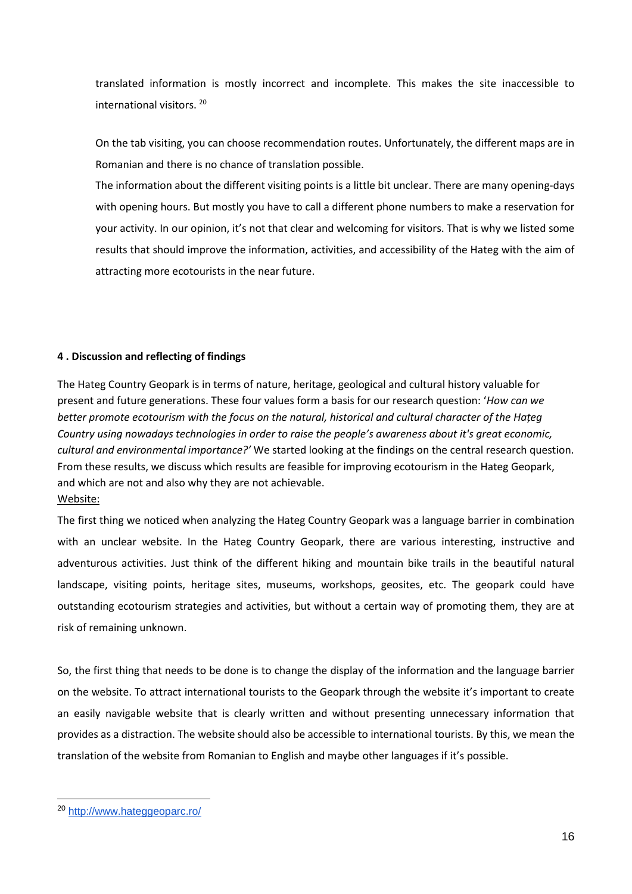translated information is mostly incorrect and incomplete. This makes the site inaccessible to international visitors. <sup>20</sup>

On the tab visiting, you can choose recommendation routes. Unfortunately, the different maps are in Romanian and there is no chance of translation possible.

The information about the different visiting points is a little bit unclear. There are many opening-days with opening hours. But mostly you have to call a different phone numbers to make a reservation for your activity. In our opinion, it's not that clear and welcoming for visitors. That is why we listed some results that should improve the information, activities, and accessibility of the Hateg with the aim of attracting more ecotourists in the near future.

# <span id="page-16-0"></span>**4 . Discussion and reflecting of findings**

The Hateg Country Geopark is in terms of nature, heritage, geological and cultural history valuable for present and future generations. These four values form a basis for our research question: '*How can we better promote ecotourism with the focus on the natural, historical and cultural character of the Hațeg Country using nowadays technologies in order to raise the people's awareness about it's great economic, cultural and environmental importance?'* We started looking at the findings on the central research question. From these results, we discuss which results are feasible for improving ecotourism in the Hateg Geopark, and which are not and also why they are not achievable. Website:

The first thing we noticed when analyzing the Hateg Country Geopark was a language barrier in combination with an unclear website. In the Hateg Country Geopark, there are various interesting, instructive and adventurous activities. Just think of the different hiking and mountain bike trails in the beautiful natural landscape, visiting points, heritage sites, museums, workshops, geosites, etc. The geopark could have outstanding ecotourism strategies and activities, but without a certain way of promoting them, they are at risk of remaining unknown.

So, the first thing that needs to be done is to change the display of the information and the language barrier on the website. To attract international tourists to the Geopark through the website it's important to create an easily navigable website that is clearly written and without presenting unnecessary information that provides as a distraction. The website should also be accessible to international tourists. By this, we mean the translation of the website from Romanian to English and maybe other languages if it's possible.

<sup>20</sup> <http://www.hateggeoparc.ro/>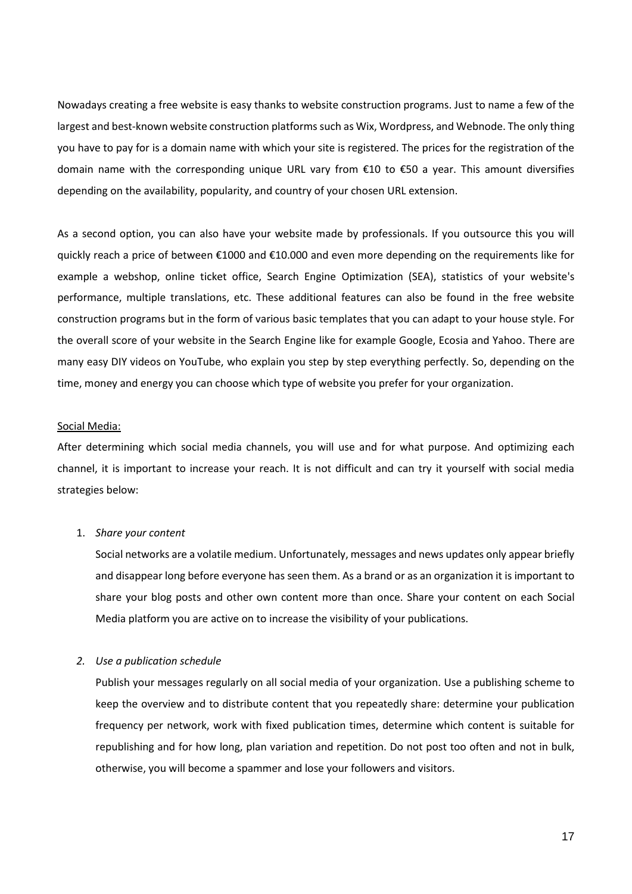Nowadays creating a free website is easy thanks to website construction programs. Just to name a few of the largest and best-known website construction platforms such as Wix, Wordpress, and Webnode. The only thing you have to pay for is a domain name with which your site is registered. The prices for the registration of the domain name with the corresponding unique URL vary from €10 to €50 a year. This amount diversifies depending on the availability, popularity, and country of your chosen URL extension.

As a second option, you can also have your website made by professionals. If you outsource this you will quickly reach a price of between €1000 and €10.000 and even more depending on the requirements like for example a webshop, online ticket office, Search Engine Optimization (SEA), statistics of your website's performance, multiple translations, etc. These additional features can also be found in the free website construction programs but in the form of various basic templates that you can adapt to your house style. For the overall score of your website in the Search Engine like for example Google, Ecosia and Yahoo. There are many easy DIY videos on YouTube, who explain you step by step everything perfectly. So, depending on the time, money and energy you can choose which type of website you prefer for your organization.

### Social Media:

After determining which social media channels, you will use and for what purpose. And optimizing each channel, it is important to increase your reach. It is not difficult and can try it yourself with social media strategies below:

### 1. *Share your content*

Social networks are a volatile medium. Unfortunately, messages and news updates only appear briefly and disappear long before everyone has seen them. As a brand or as an organization it is important to share your blog posts and other own content more than once. Share your content on each Social Media platform you are active on to increase the visibility of your publications.

#### *2. Use a publication schedule*

Publish your messages regularly on all social media of your organization. Use a publishing scheme to keep the overview and to distribute content that you repeatedly share: determine your publication frequency per network, work with fixed publication times, determine which content is suitable for republishing and for how long, plan variation and repetition. Do not post too often and not in bulk, otherwise, you will become a spammer and lose your followers and visitors.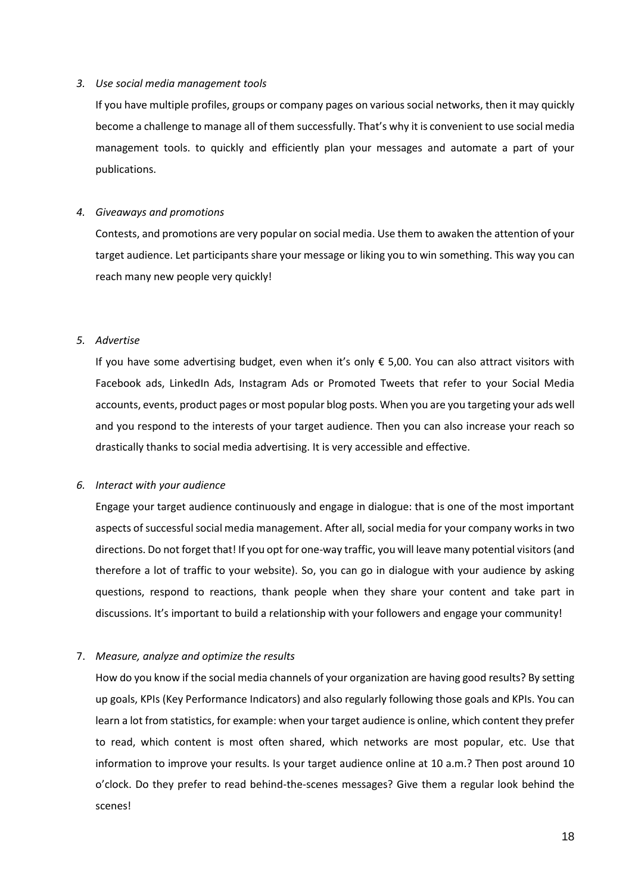### *3. Use social media management tools*

If you have multiple profiles, groups or company pages on various social networks, then it may quickly become a challenge to manage all of them successfully. That's why it is convenient to use social media management tools. to quickly and efficiently plan your messages and automate a part of your publications.

## *4. Giveaways and promotions*

Contests, and promotions are very popular on social media. Use them to awaken the attention of your target audience. Let participants share your message or liking you to win something. This way you can reach many new people very quickly!

### *5. Advertise*

If you have some advertising budget, even when it's only € 5,00. You can also attract visitors with Facebook ads, LinkedIn Ads, Instagram Ads or Promoted Tweets that refer to your Social Media accounts, events, product pages or most popular blog posts. When you are you targeting your ads well and you respond to the interests of your target audience. Then you can also increase your reach so drastically thanks to social media advertising. It is very accessible and effective.

#### *6. Interact with your audience*

Engage your target audience continuously and engage in dialogue: that is one of the most important aspects of successful social media management. After all, social media for your company works in two directions. Do not forget that! If you opt for one-way traffic, you will leave many potential visitors (and therefore a lot of traffic to your website). So, you can go in dialogue with your audience by asking questions, respond to reactions, thank people when they share your content and take part in discussions. It's important to build a relationship with your followers and engage your community!

# 7. *Measure, analyze and optimize the results*

How do you know if the social media channels of your organization are having good results? By setting up goals, KPIs (Key Performance Indicators) and also regularly following those goals and KPIs. You can learn a lot from statistics, for example: when your target audience is online, which content they prefer to read, which content is most often shared, which networks are most popular, etc. Use that information to improve your results. Is your target audience online at 10 a.m.? Then post around 10 o'clock. Do they prefer to read behind-the-scenes messages? Give them a regular look behind the scenes!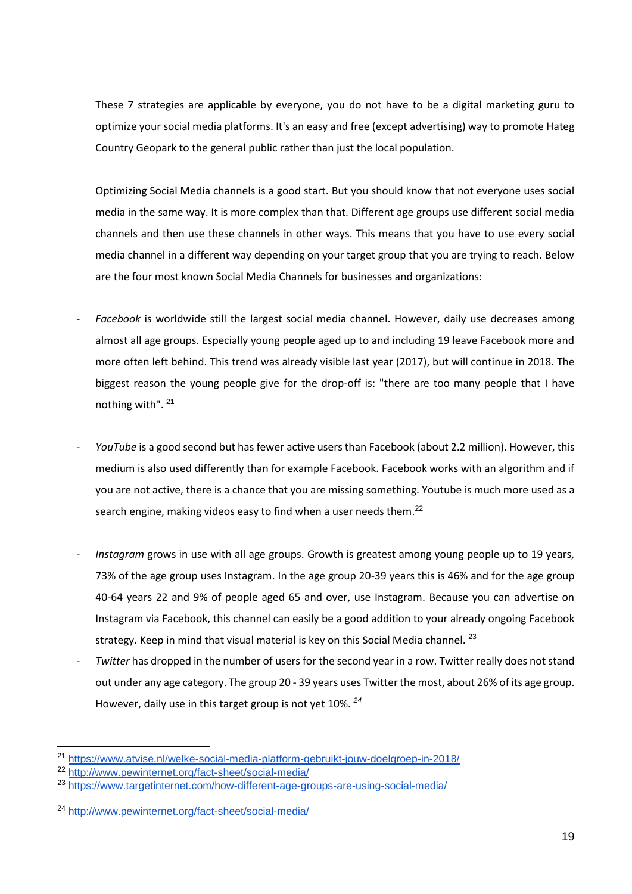These 7 strategies are applicable by everyone, you do not have to be a digital marketing guru to optimize your social media platforms. It's an easy and free (except advertising) way to promote Hateg Country Geopark to the general public rather than just the local population.

Optimizing Social Media channels is a good start. But you should know that not everyone uses social media in the same way. It is more complex than that. Different age groups use different social media channels and then use these channels in other ways. This means that you have to use every social media channel in a different way depending on your target group that you are trying to reach. Below are the four most known Social Media Channels for businesses and organizations:

- Facebook is worldwide still the largest social media channel. However, daily use decreases among almost all age groups. Especially young people aged up to and including 19 leave Facebook more and more often left behind. This trend was already visible last year (2017), but will continue in 2018. The biggest reason the young people give for the drop-off is: "there are too many people that I have nothing with". <sup>21</sup>
- YouTube is a good second but has fewer active users than Facebook (about 2.2 million). However, this medium is also used differently than for example Facebook. Facebook works with an algorithm and if you are not active, there is a chance that you are missing something. Youtube is much more used as a search engine, making videos easy to find when a user needs them.<sup>22</sup>
- *Instagram* grows in use with all age groups. Growth is greatest among young people up to 19 years, 73% of the age group uses Instagram. In the age group 20-39 years this is 46% and for the age group 40-64 years 22 and 9% of people aged 65 and over, use Instagram. Because you can advertise on Instagram via Facebook, this channel can easily be a good addition to your already ongoing Facebook strategy. Keep in mind that visual material is key on this Social Media channel. <sup>23</sup>
- *Twitter* has dropped in the number of users for the second year in a row. Twitter really does not stand out under any age category. The group 20 - 39 years uses Twitter the most, about 26% of its age group. However, daily use in this target group is not yet 10%. *<sup>24</sup>*

<sup>21</sup> <https://www.atvise.nl/welke-social-media-platform-gebruikt-jouw-doelgroep-in-2018/>

<sup>22</sup> <http://www.pewinternet.org/fact-sheet/social-media/>

<sup>23</sup> <https://www.targetinternet.com/how-different-age-groups-are-using-social-media/>

<sup>24</sup> <http://www.pewinternet.org/fact-sheet/social-media/>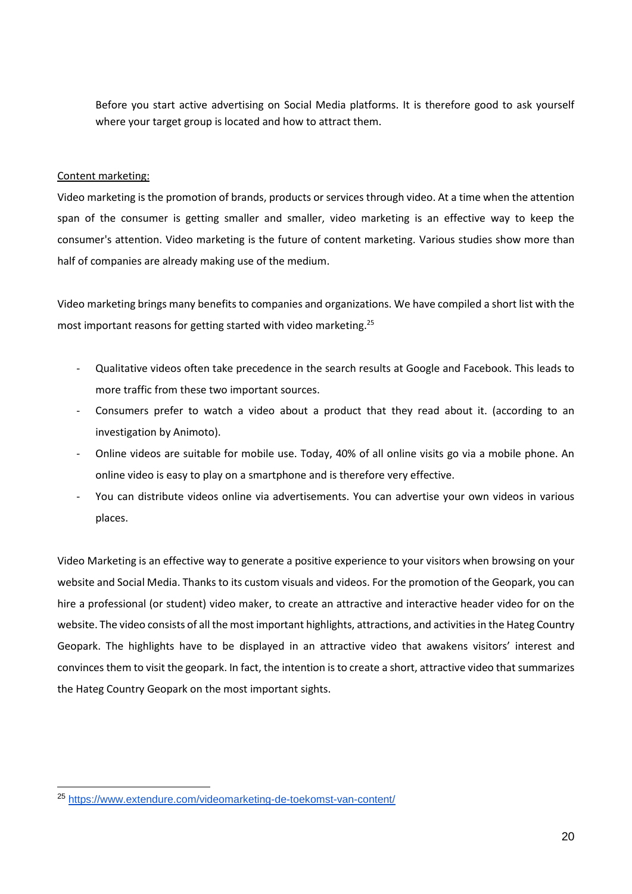Before you start active advertising on Social Media platforms. It is therefore good to ask yourself where your target group is located and how to attract them.

# Content marketing:

-

Video marketing is the promotion of brands, products or services through video. At a time when the attention span of the consumer is getting smaller and smaller, video marketing is an effective way to keep the consumer's attention. Video marketing is the future of content marketing. Various studies show more than half of companies are already making use of the medium.

Video marketing brings many benefits to companies and organizations. We have compiled a short list with the most important reasons for getting started with video marketing.<sup>25</sup>

- Qualitative videos often take precedence in the search results at Google and Facebook. This leads to more traffic from these two important sources.
- Consumers prefer to watch a video about a product that they read about it. (according to an investigation by Animoto).
- Online videos are suitable for mobile use. Today, 40% of all online visits go via a mobile phone. An online video is easy to play on a smartphone and is therefore very effective.
- You can distribute videos online via advertisements. You can advertise your own videos in various places.

Video Marketing is an effective way to generate a positive experience to your visitors when browsing on your website and Social Media. Thanks to its custom visuals and videos. For the promotion of the Geopark, you can hire a professional (or student) video maker, to create an attractive and interactive header video for on the website. The video consists of all the most important highlights, attractions, and activities in the Hateg Country Geopark. The highlights have to be displayed in an attractive video that awakens visitors' interest and convinces them to visit the geopark. In fact, the intention is to create a short, attractive video that summarizes the Hateg Country Geopark on the most important sights.

<sup>25</sup> <https://www.extendure.com/videomarketing-de-toekomst-van-content/>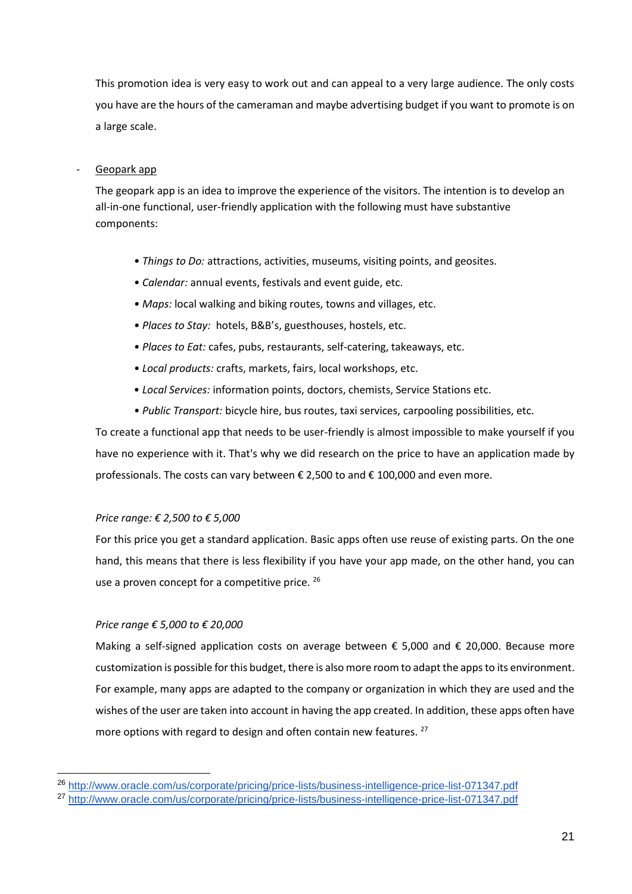This promotion idea is very easy to work out and can appeal to a very large audience. The only costs you have are the hours of the cameraman and maybe advertising budget if you want to promote is on a large scale.

# - Geopark app

The geopark app is an idea to improve the experience of the visitors. The intention is to develop an all-in-one functional, user-friendly application with the following must have substantive components:

- *Things to Do:* attractions, activities, museums, visiting points, and geosites.
- *Calendar:* annual events, festivals and event guide, etc.
- *Maps:* local walking and biking routes, towns and villages, etc.
- *Places to Stay:* hotels, B&B's, guesthouses, hostels, etc.
- *Places to Eat:* cafes, pubs, restaurants, self-catering, takeaways, etc.
- *Local products:* crafts, markets, fairs, local workshops, etc.
- *Local Services:* information points, doctors, chemists, Service Stations etc.
- *• Public Transport:* bicycle hire, bus routes, taxi services, carpooling possibilities, etc.

To create a functional app that needs to be user-friendly is almost impossible to make yourself if you have no experience with it. That's why we did research on the price to have an application made by professionals. The costs can vary between € 2,500 to and € 100,000 and even more.

# *Price range: € 2,500 to € 5,000*

For this price you get a standard application. Basic apps often use reuse of existing parts. On the one hand, this means that there is less flexibility if you have your app made, on the other hand, you can use a proven concept for a competitive price. <sup>26</sup>

# *Price range € 5,000 to € 20,000*

-

Making a self-signed application costs on average between € 5,000 and € 20,000. Because more customization is possible for this budget, there is also more room to adapt the apps to its environment. For example, many apps are adapted to the company or organization in which they are used and the wishes of the user are taken into account in having the app created. In addition, these apps often have more options with regard to design and often contain new features. <sup>27</sup>

<sup>26</sup> <http://www.oracle.com/us/corporate/pricing/price-lists/business-intelligence-price-list-071347.pdf>

<sup>27</sup> <http://www.oracle.com/us/corporate/pricing/price-lists/business-intelligence-price-list-071347.pdf>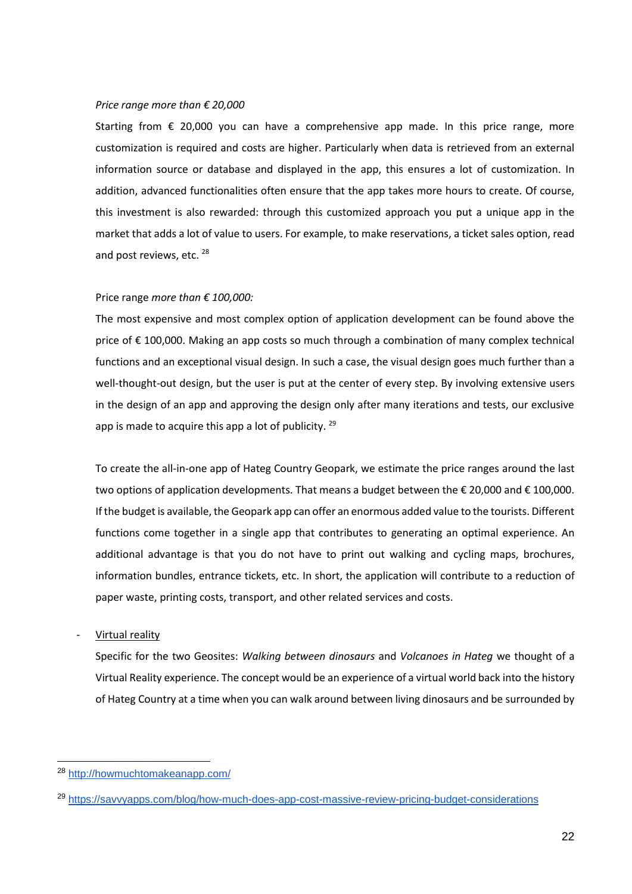#### *Price range more than € 20,000*

Starting from  $\epsilon$  20,000 you can have a comprehensive app made. In this price range, more customization is required and costs are higher. Particularly when data is retrieved from an external information source or database and displayed in the app, this ensures a lot of customization. In addition, advanced functionalities often ensure that the app takes more hours to create. Of course, this investment is also rewarded: through this customized approach you put a unique app in the market that adds a lot of value to users. For example, to make reservations, a ticket sales option, read and post reviews, etc. <sup>28</sup>

#### Price range *more than € 100,000:*

The most expensive and most complex option of application development can be found above the price of € 100,000. Making an app costs so much through a combination of many complex technical functions and an exceptional visual design. In such a case, the visual design goes much further than a well-thought-out design, but the user is put at the center of every step. By involving extensive users in the design of an app and approving the design only after many iterations and tests, our exclusive app is made to acquire this app a lot of publicity.  $29$ 

To create the all-in-one app of Hateg Country Geopark, we estimate the price ranges around the last two options of application developments. That means a budget between the € 20,000 and € 100,000. If the budget is available, the Geopark app can offer an enormous added value to the tourists. Different functions come together in a single app that contributes to generating an optimal experience. An additional advantage is that you do not have to print out walking and cycling maps, brochures, information bundles, entrance tickets, etc. In short, the application will contribute to a reduction of paper waste, printing costs, transport, and other related services and costs.

- Virtual reality

-

Specific for the two Geosites: *Walking between dinosaurs* and *Volcanoes in Hateg* we thought of a Virtual Reality experience. The concept would be an experience of a virtual world back into the history of Hateg Country at a time when you can walk around between living dinosaurs and be surrounded by

<sup>28</sup> <http://howmuchtomakeanapp.com/>

<sup>29</sup> <https://savvyapps.com/blog/how-much-does-app-cost-massive-review-pricing-budget-considerations>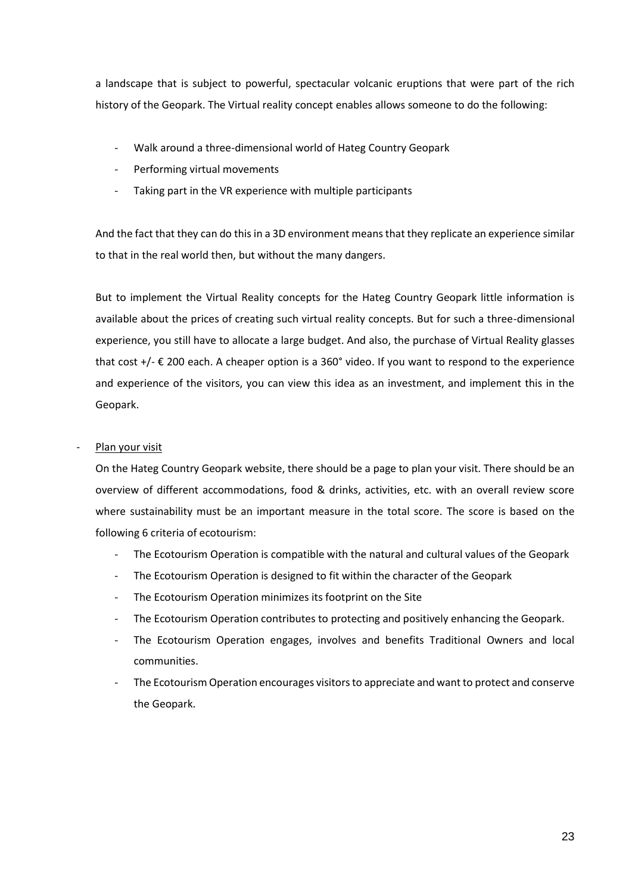a landscape that is subject to powerful, spectacular volcanic eruptions that were part of the rich history of the Geopark. The Virtual reality concept enables allows someone to do the following:

- Walk around a three-dimensional world of Hateg Country Geopark
- Performing virtual movements
- Taking part in the VR experience with multiple participants

And the fact that they can do this in a 3D environment means that they replicate an experience similar to that in the real world then, but without the many dangers.

But to implement the Virtual Reality concepts for the Hateg Country Geopark little information is available about the prices of creating such virtual reality concepts. But for such a three-dimensional experience, you still have to allocate a large budget. And also, the purchase of Virtual Reality glasses that cost +/- € 200 each. A cheaper option is a 360° video. If you want to respond to the experience and experience of the visitors, you can view this idea as an investment, and implement this in the Geopark.

# Plan your visit

On the Hateg Country Geopark website, there should be a page to plan your visit. There should be an overview of different accommodations, food & drinks, activities, etc. with an overall review score where sustainability must be an important measure in the total score. The score is based on the following 6 criteria of ecotourism:

- The Ecotourism Operation is compatible with the natural and cultural values of the Geopark
- The Ecotourism Operation is designed to fit within the character of the Geopark
- The Ecotourism Operation minimizes its footprint on the Site
- The Ecotourism Operation contributes to protecting and positively enhancing the Geopark.
- The Ecotourism Operation engages, involves and benefits Traditional Owners and local communities.
- The Ecotourism Operation encourages visitors to appreciate and want to protect and conserve the Geopark.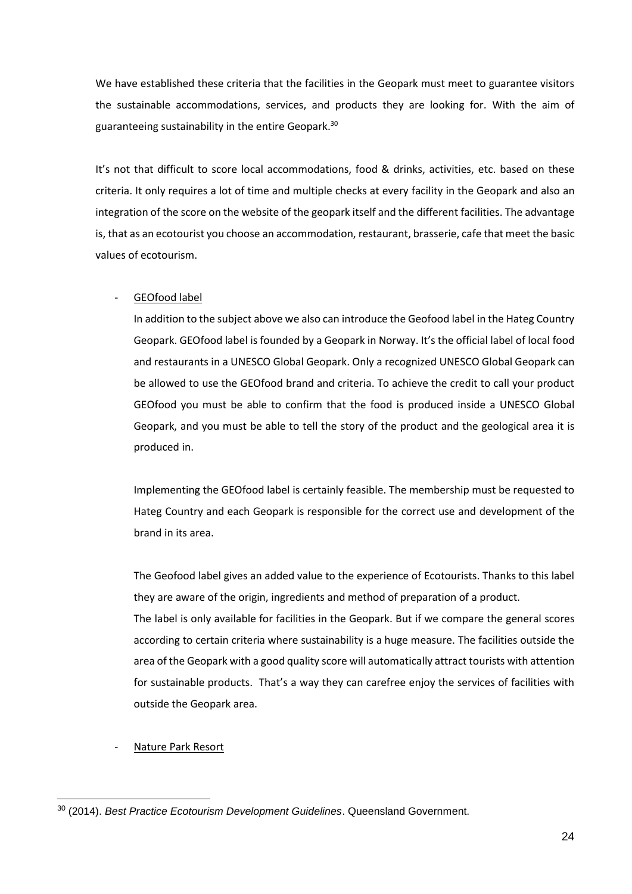We have established these criteria that the facilities in the Geopark must meet to guarantee visitors the sustainable accommodations, services, and products they are looking for. With the aim of guaranteeing sustainability in the entire Geopark.<sup>30</sup>

It's not that difficult to score local accommodations, food & drinks, activities, etc. based on these criteria. It only requires a lot of time and multiple checks at every facility in the Geopark and also an integration of the score on the website of the geopark itself and the different facilities. The advantage is, that as an ecotourist you choose an accommodation, restaurant, brasserie, cafe that meet the basic values of ecotourism.

# GEOfood label

In addition to the subject above we also can introduce the Geofood label in the Hateg Country Geopark. GEOfood label is founded by a Geopark in Norway. It's the official label of local food and restaurants in a UNESCO Global Geopark. Only a recognized UNESCO Global Geopark can be allowed to use the GEOfood brand and criteria. To achieve the credit to call your product GEOfood you must be able to confirm that the food is produced inside a UNESCO Global Geopark, and you must be able to tell the story of the product and the geological area it is produced in.

Implementing the GEOfood label is certainly feasible. The membership must be requested to Hateg Country and each Geopark is responsible for the correct use and development of the brand in its area.

The Geofood label gives an added value to the experience of Ecotourists. Thanks to this label they are aware of the origin, ingredients and method of preparation of a product. The label is only available for facilities in the Geopark. But if we compare the general scores according to certain criteria where sustainability is a huge measure. The facilities outside the area of the Geopark with a good quality score will automatically attract tourists with attention for sustainable products. That's a way they can carefree enjoy the services of facilities with outside the Geopark area.

# - Nature Park Resort

<sup>30</sup> (2014). *Best Practice Ecotourism Development Guidelines*. Queensland Government.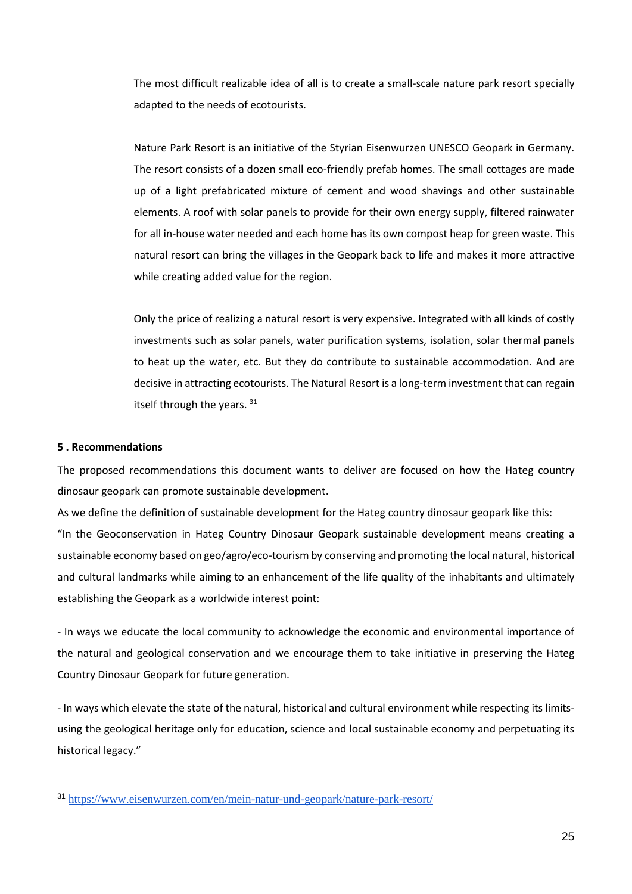The most difficult realizable idea of all is to create a small-scale nature park resort specially adapted to the needs of ecotourists.

Nature Park Resort is an initiative of the Styrian Eisenwurzen UNESCO Geopark in Germany. The resort consists of a dozen small eco-friendly prefab homes. The small cottages are made up of a light prefabricated mixture of cement and wood shavings and other sustainable elements. A roof with solar panels to provide for their own energy supply, filtered rainwater for all in-house water needed and each home has its own compost heap for green waste. This natural resort can bring the villages in the Geopark back to life and makes it more attractive while creating added value for the region.

Only the price of realizing a natural resort is very expensive. Integrated with all kinds of costly investments such as solar panels, water purification systems, isolation, solar thermal panels to heat up the water, etc. But they do contribute to sustainable accommodation. And are decisive in attracting ecotourists. The Natural Resort is a long-term investment that can regain itself through the years. 31

## <span id="page-25-0"></span>**5 . Recommendations**

-

The proposed recommendations this document wants to deliver are focused on how the Hateg country dinosaur geopark can promote sustainable development.

As we define the definition of sustainable development for the Hateg country dinosaur geopark like this: "In the Geoconservation in Hateg Country Dinosaur Geopark sustainable development means creating a sustainable economy based on geo/agro/eco-tourism by conserving and promoting the local natural, historical and cultural landmarks while aiming to an enhancement of the life quality of the inhabitants and ultimately establishing the Geopark as a worldwide interest point:

- In ways we educate the local community to acknowledge the economic and environmental importance of the natural and geological conservation and we encourage them to take initiative in preserving the Hateg Country Dinosaur Geopark for future generation.

- In ways which elevate the state of the natural, historical and cultural environment while respecting its limitsusing the geological heritage only for education, science and local sustainable economy and perpetuating its historical legacy."

<sup>31</sup> <https://www.eisenwurzen.com/en/mein-natur-und-geopark/nature-park-resort/>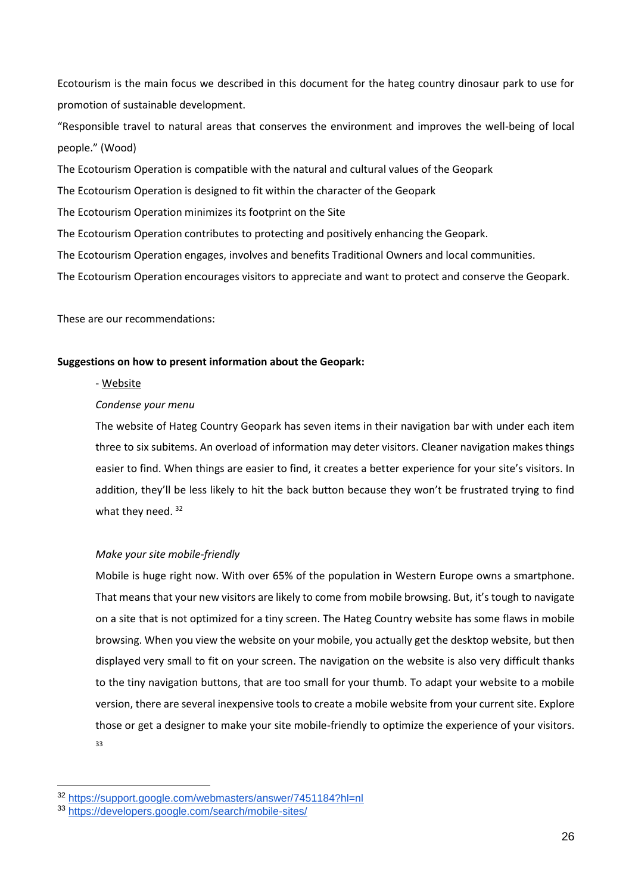Ecotourism is the main focus we described in this document for the hateg country dinosaur park to use for promotion of sustainable development.

"Responsible travel to natural areas that conserves the environment and improves the well-being of local people." (Wood)

The Ecotourism Operation is compatible with the natural and cultural values of the Geopark

The Ecotourism Operation is designed to fit within the character of the Geopark

The Ecotourism Operation minimizes its footprint on the Site

The Ecotourism Operation contributes to protecting and positively enhancing the Geopark.

The Ecotourism Operation engages, involves and benefits Traditional Owners and local communities.

The Ecotourism Operation encourages visitors to appreciate and want to protect and conserve the Geopark.

These are our recommendations:

### **Suggestions on how to present information about the Geopark:**

- Website

### *Condense your menu*

The website of Hateg Country Geopark has seven items in their navigation bar with under each item three to six subitems. An overload of information may deter visitors. Cleaner navigation makes things easier to find. When things are easier to find, it creates a better experience for your site's visitors. In addition, they'll be less likely to hit the back button because they won't be frustrated trying to find what they need.<sup>32</sup>

#### *Make your site mobile-friendly*

Mobile is huge right now. With over 65% of the population in Western Europe owns a smartphone. That means that your new visitors are likely to come from mobile browsing. But, it's tough to navigate on a site that is not optimized for a tiny screen. The Hateg Country website has some flaws in mobile browsing. When you view the website on your mobile, you actually get the desktop website, but then displayed very small to fit on your screen. The navigation on the website is also very difficult thanks to the tiny navigation buttons, that are too small for your thumb. To adapt your website to a mobile version, there are several inexpensive tools to create a mobile website from your current site. Explore those or get a designer to make your site mobile-friendly to optimize the experience of your visitors. 33

<sup>32</sup> <https://support.google.com/webmasters/answer/7451184?hl=nl>

<sup>33</sup> <https://developers.google.com/search/mobile-sites/>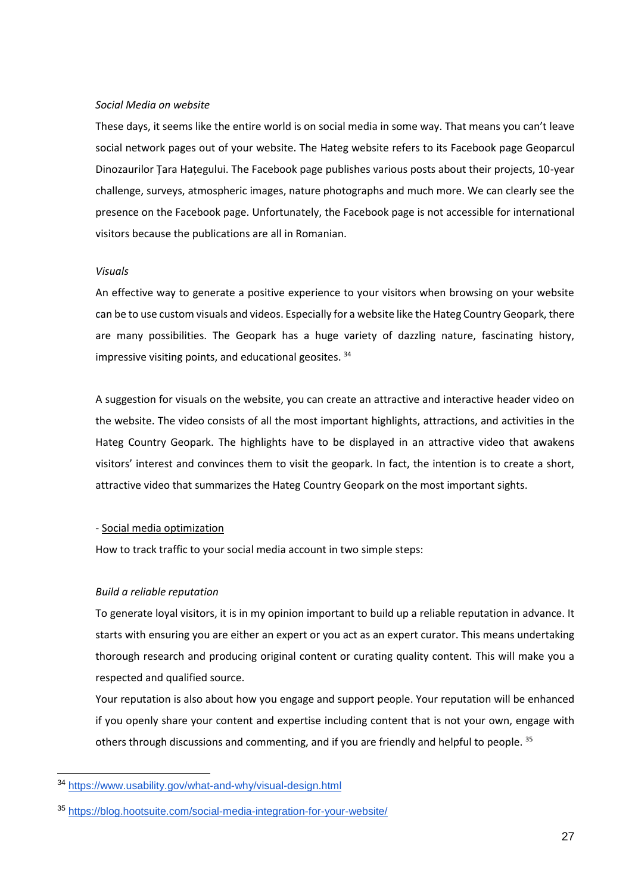#### *Social Media on website*

These days, it seems like the entire world is on social media in some way. That means you can't leave social network pages out of your website. The Hateg website refers to its Facebook page Geoparcul Dinozaurilor Țara Hațegului. The Facebook page publishes various posts about their projects, 10-year challenge, surveys, atmospheric images, nature photographs and much more. We can clearly see the presence on the Facebook page. Unfortunately, the Facebook page is not accessible for international visitors because the publications are all in Romanian.

### *Visuals*

An effective way to generate a positive experience to your visitors when browsing on your website can be to use custom visuals and videos. Especially for a website like the Hateg Country Geopark, there are many possibilities. The Geopark has a huge variety of dazzling nature, fascinating history, impressive visiting points, and educational geosites. <sup>34</sup>

A suggestion for visuals on the website, you can create an attractive and interactive header video on the website. The video consists of all the most important highlights, attractions, and activities in the Hateg Country Geopark. The highlights have to be displayed in an attractive video that awakens visitors' interest and convinces them to visit the geopark. In fact, the intention is to create a short, attractive video that summarizes the Hateg Country Geopark on the most important sights.

# - Social media optimization

How to track traffic to your social media account in two simple steps:

# *Build a reliable reputation*

-

To generate loyal visitors, it is in my opinion important to build up a reliable reputation in advance. It starts with ensuring you are either an expert or you act as an expert curator. This means undertaking thorough research and producing original content or curating quality content. This will make you a respected and qualified source.

Your reputation is also about how you engage and support people. Your reputation will be enhanced if you openly share your content and expertise including content that is not your own, engage with others through discussions and commenting, and if you are friendly and helpful to people. <sup>35</sup>

<sup>34</sup> <https://www.usability.gov/what-and-why/visual-design.html>

<sup>35</sup> <https://blog.hootsuite.com/social-media-integration-for-your-website/>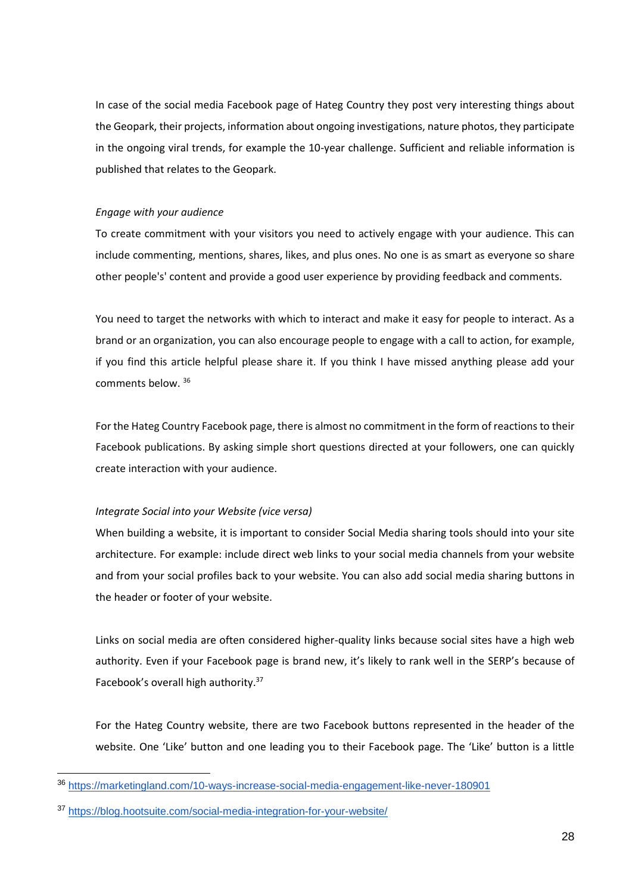In case of the social media Facebook page of Hateg Country they post very interesting things about the Geopark, their projects, information about ongoing investigations, nature photos, they participate in the ongoing viral trends, for example the 10-year challenge. Sufficient and reliable information is published that relates to the Geopark.

## *Engage with your audience*

To create commitment with your visitors you need to actively engage with your audience. This can include commenting, mentions, shares, likes, and plus ones. No one is as smart as everyone so share other people's' content and provide a good user experience by providing feedback and comments.

You need to target the networks with which to interact and make it easy for people to interact. As a brand or an organization, you can also encourage people to engage with a call to action, for example, if you find this article helpful please share it. If you think I have missed anything please add your comments below. <sup>36</sup>

For the Hateg Country Facebook page, there is almost no commitment in the form of reactions to their Facebook publications. By asking simple short questions directed at your followers, one can quickly create interaction with your audience.

# *Integrate Social into your Website (vice versa)*

When building a website, it is important to consider Social Media sharing tools should into your site architecture. For example: include direct web links to your social media channels from your website and from your social profiles back to your website. You can also add social media sharing buttons in the header or footer of your website.

Links on social media are often considered higher-quality links because social sites have a high web authority. Even if your Facebook page is brand new, it's likely to rank well in the SERP's because of Facebook's overall high authority.<sup>37</sup>

For the Hateg Country website, there are two Facebook buttons represented in the header of the website. One 'Like' button and one leading you to their Facebook page. The 'Like' button is a little

<sup>36</sup> <https://marketingland.com/10-ways-increase-social-media-engagement-like-never-180901>

<sup>37</sup> <https://blog.hootsuite.com/social-media-integration-for-your-website/>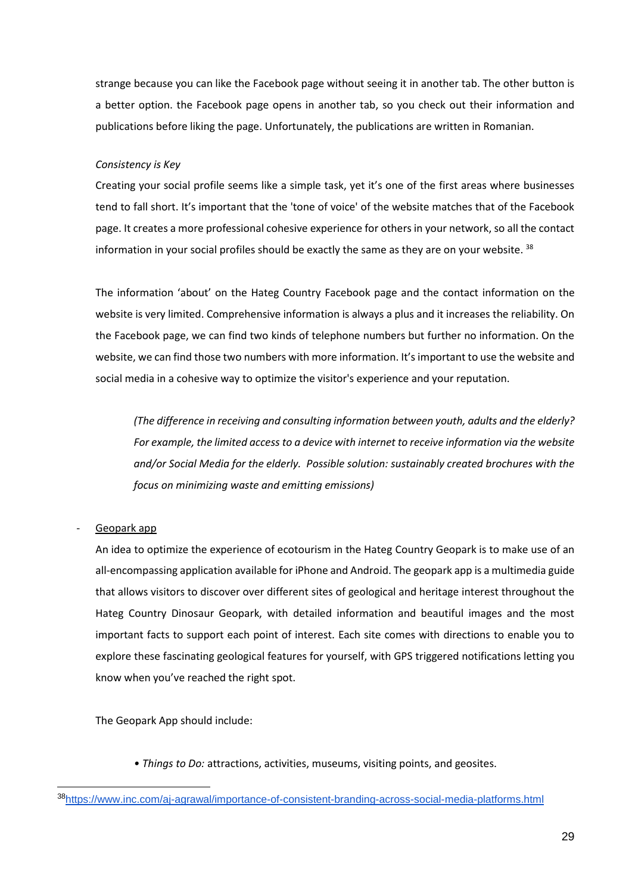strange because you can like the Facebook page without seeing it in another tab. The other button is a better option. the Facebook page opens in another tab, so you check out their information and publications before liking the page. Unfortunately, the publications are written in Romanian.

### *Consistency is Key*

Creating your social profile seems like a simple task, yet it's one of the first areas where businesses tend to fall short. It's important that the 'tone of voice' of the website matches that of the Facebook page. It creates a more professional cohesive experience for others in your network, so all the contact information in your social profiles should be exactly the same as they are on your website. <sup>38</sup>

The information 'about' on the Hateg Country Facebook page and the contact information on the website is very limited. Comprehensive information is always a plus and it increases the reliability. On the Facebook page, we can find two kinds of telephone numbers but further no information. On the website, we can find those two numbers with more information. It's important to use the website and social media in a cohesive way to optimize the visitor's experience and your reputation.

*(The difference in receiving and consulting information between youth, adults and the elderly? For example, the limited access to a device with internet to receive information via the website and/or Social Media for the elderly. Possible solution: sustainably created brochures with the focus on minimizing waste and emitting emissions)*

#### Geopark app

-

An idea to optimize the experience of ecotourism in the Hateg Country Geopark is to make use of an all-encompassing application available for iPhone and Android. The geopark app is a multimedia guide that allows visitors to discover over different sites of geological and heritage interest throughout the Hateg Country Dinosaur Geopark, with detailed information and beautiful images and the most important facts to support each point of interest. Each site comes with directions to enable you to explore these fascinating geological features for yourself, with GPS triggered notifications letting you know when you've reached the right spot.

The Geopark App should include:

*• Things to Do:* attractions, activities, museums, visiting points, and geosites.

<sup>38</sup><https://www.inc.com/aj-agrawal/importance-of-consistent-branding-across-social-media-platforms.html>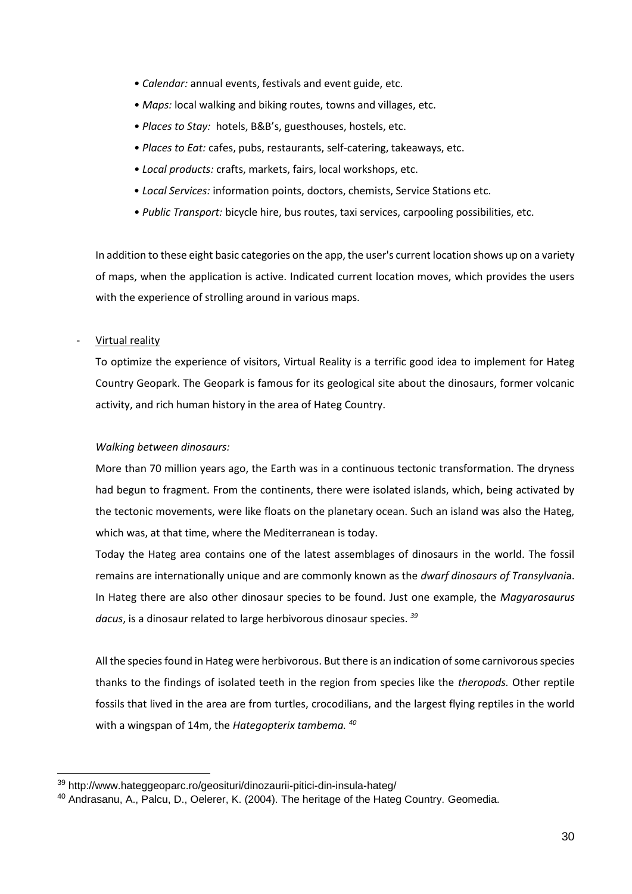- *Calendar:* annual events, festivals and event guide, etc.
- *Maps:* local walking and biking routes, towns and villages, etc.
- *Places to Stay:* hotels, B&B's, guesthouses, hostels, etc.
- *Places to Eat:* cafes, pubs, restaurants, self-catering, takeaways, etc.
- *Local products:* crafts, markets, fairs, local workshops, etc.
- *Local Services:* information points, doctors, chemists, Service Stations etc.
- *Public Transport:* bicycle hire, bus routes, taxi services, carpooling possibilities, etc.

In addition to these eight basic categories on the app, the user's current location shows up on a variety of maps, when the application is active. Indicated current location moves, which provides the users with the experience of strolling around in various maps.

# Virtual reality

-

To optimize the experience of visitors, Virtual Reality is a terrific good idea to implement for Hateg Country Geopark. The Geopark is famous for its geological site about the dinosaurs, former volcanic activity, and rich human history in the area of Hateg Country.

# *Walking between dinosaurs:*

More than 70 million years ago, the Earth was in a continuous tectonic transformation. The dryness had begun to fragment. From the continents, there were isolated islands, which, being activated by the tectonic movements, were like floats on the planetary ocean. Such an island was also the Hateg, which was, at that time, where the Mediterranean is today.

Today the Hateg area contains one of the latest assemblages of dinosaurs in the world. The fossil remains are internationally unique and are commonly known as the *dwarf dinosaurs of Transylvani*a. In Hateg there are also other dinosaur species to be found. Just one example, the *Magyarosaurus dacus*, is a dinosaur related to large herbivorous dinosaur species. *<sup>39</sup>*

All the species found in Hateg were herbivorous. But there is an indication of some carnivorous species thanks to the findings of isolated teeth in the region from species like the *theropods.* Other reptile fossils that lived in the area are from turtles, crocodilians, and the largest flying reptiles in the world with a wingspan of 14m, the *Hategopterix tambema. <sup>40</sup>*

<sup>39</sup> http://www.hateggeoparc.ro/geosituri/dinozaurii-pitici-din-insula-hateg/

<sup>40</sup> Andrasanu, A., Palcu, D., Oelerer, K. (2004). The heritage of the Hateg Country. Geomedia.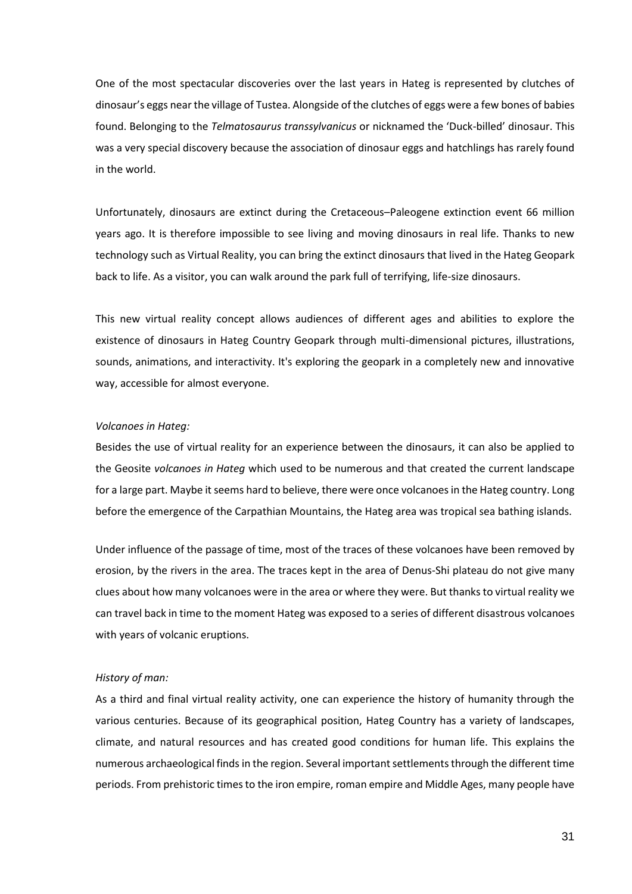One of the most spectacular discoveries over the last years in Hateg is represented by clutches of dinosaur's eggs near the village of Tustea. Alongside of the clutches of eggs were a few bones of babies found. Belonging to the *Telmatosaurus transsylvanicus* or nicknamed the 'Duck-billed' dinosaur. This was a very special discovery because the association of dinosaur eggs and hatchlings has rarely found in the world.

Unfortunately, dinosaurs are extinct during the Cretaceous–Paleogene extinction event 66 million years ago. It is therefore impossible to see living and moving dinosaurs in real life. Thanks to new technology such as Virtual Reality, you can bring the extinct dinosaurs that lived in the Hateg Geopark back to life. As a visitor, you can walk around the park full of terrifying, life-size dinosaurs.

This new virtual reality concept allows audiences of different ages and abilities to explore the existence of dinosaurs in Hateg Country Geopark through multi-dimensional pictures, illustrations, sounds, animations, and interactivity. It's exploring the geopark in a completely new and innovative way, accessible for almost everyone.

#### *Volcanoes in Hateg:*

Besides the use of virtual reality for an experience between the dinosaurs, it can also be applied to the Geosite *volcanoes in Hateg* which used to be numerous and that created the current landscape for a large part. Maybe it seems hard to believe, there were once volcanoes in the Hateg country. Long before the emergence of the Carpathian Mountains, the Hateg area was tropical sea bathing islands.

Under influence of the passage of time, most of the traces of these volcanoes have been removed by erosion, by the rivers in the area. The traces kept in the area of Denus-Shi plateau do not give many clues about how many volcanoes were in the area or where they were. But thanks to virtual reality we can travel back in time to the moment Hateg was exposed to a series of different disastrous volcanoes with years of volcanic eruptions.

#### *History of man:*

As a third and final virtual reality activity, one can experience the history of humanity through the various centuries. Because of its geographical position, Hateg Country has a variety of landscapes, climate, and natural resources and has created good conditions for human life. This explains the numerous archaeological finds in the region. Several important settlements through the different time periods. From prehistoric times to the iron empire, roman empire and Middle Ages, many people have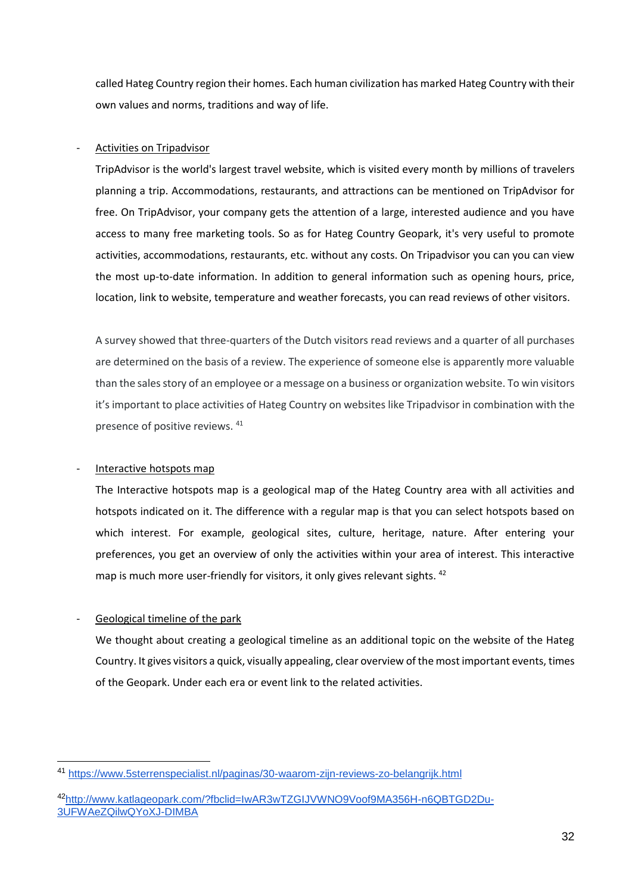called Hateg Country region their homes. Each human civilization has marked Hateg Country with their own values and norms, traditions and way of life.

# - Activities on Tripadvisor

TripAdvisor is the world's largest travel website, which is visited every month by millions of travelers planning a trip. Accommodations, restaurants, and attractions can be mentioned on TripAdvisor for free. On TripAdvisor, your company gets the attention of a large, interested audience and you have access to many free marketing tools. So as for Hateg Country Geopark, it's very useful to promote activities, accommodations, restaurants, etc. without any costs. On Tripadvisor you can you can view the most up-to-date information. In addition to general information such as opening hours, price, location, link to website, temperature and weather forecasts, you can read reviews of other visitors.

A survey showed that three-quarters of the Dutch visitors read reviews and a quarter of all purchases are determined on the basis of a review. The experience of someone else is apparently more valuable than the sales story of an employee or a message on a business or organization website. To win visitors it's important to place activities of Hateg Country on websites like Tripadvisor in combination with the presence of positive reviews. <sup>41</sup>

# Interactive hotspots map

The Interactive hotspots map is a geological map of the Hateg Country area with all activities and hotspots indicated on it. The difference with a regular map is that you can select hotspots based on which interest. For example, geological sites, culture, heritage, nature. After entering your preferences, you get an overview of only the activities within your area of interest. This interactive map is much more user-friendly for visitors, it only gives relevant sights. <sup>4[2](http://www.katlageopark.com/?fbclid=IwAR3wTZGIJVWNO9Voof9MA356H-n6QBTGD2Du-3UFWAeZQilwQYoXJ-DIMBA)</sup>

# Geological timeline of the park

-

We thought about creating a geological timeline as an additional topic on the website of the Hateg Country. It gives visitors a quick, visually appealing, clear overview of the most important events, times of the Geopark. Under each era or event link to the related activities.

<sup>41</sup> <https://www.5sterrenspecialist.nl/paginas/30-waarom-zijn-reviews-zo-belangrijk.html>

<sup>42</sup>[http://www.katlageopark.com/?fbclid=IwAR3wTZGIJVWNO9Voof9MA356H-n6QBTGD2Du-](http://www.katlageopark.com/?fbclid=IwAR3wTZGIJVWNO9Voof9MA356H-n6QBTGD2Du-3UFWAeZQilwQYoXJ-DIMBA)[3UFWAeZQilwQYoXJ-DIMBA](http://www.katlageopark.com/?fbclid=IwAR3wTZGIJVWNO9Voof9MA356H-n6QBTGD2Du-3UFWAeZQilwQYoXJ-DIMBA)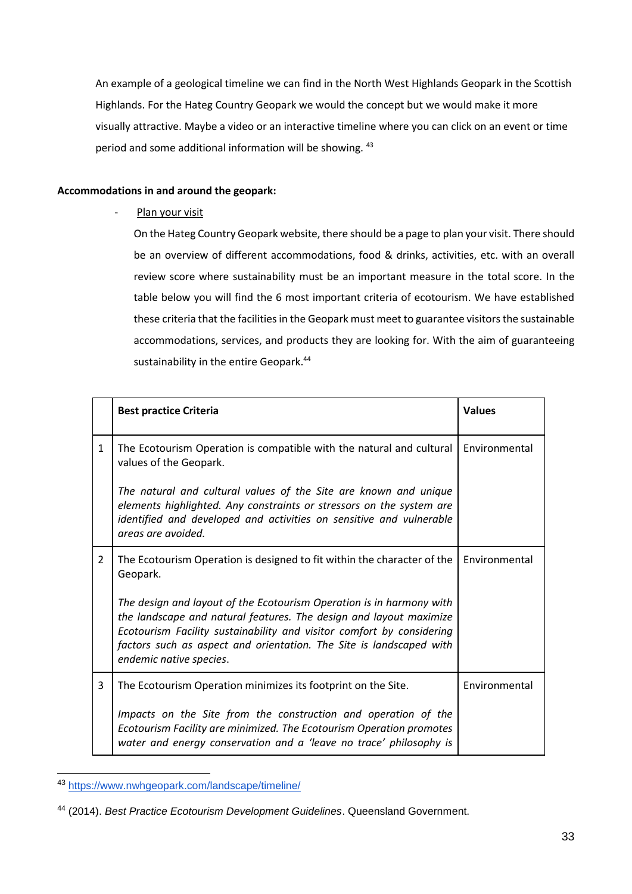An example of a geological timeline we can find in the North West Highlands Geopark in the Scottish Highlands. For the Hateg Country Geopark we would the concept but we would make it more visually attractive. Maybe a video or an interactive timeline where you can click on an event or time period and some additional information will be showing. <sup>43</sup>

# **Accommodations in and around the geopark:**

Plan your visit

On the Hateg Country Geopark website, there should be a page to plan your visit. There should be an overview of different accommodations, food & drinks, activities, etc. with an overall review score where sustainability must be an important measure in the total score. In the table below you will find the 6 most important criteria of ecotourism. We have established these criteria that the facilities in the Geopark must meet to guarantee visitors the sustainable accommodations, services, and products they are looking for. With the aim of guaranteeing sustainability in the entire Geopark.<sup>44</sup>

|              | <b>Best practice Criteria</b>                                                                                                                                                                                                                                                                                         | <b>Values</b> |
|--------------|-----------------------------------------------------------------------------------------------------------------------------------------------------------------------------------------------------------------------------------------------------------------------------------------------------------------------|---------------|
| $\mathbf{1}$ | The Ecotourism Operation is compatible with the natural and cultural<br>values of the Geopark.                                                                                                                                                                                                                        | Environmental |
|              | The natural and cultural values of the Site are known and unique<br>elements highlighted. Any constraints or stressors on the system are<br>identified and developed and activities on sensitive and vulnerable<br>areas are avoided.                                                                                 |               |
| 2            | The Ecotourism Operation is designed to fit within the character of the<br>Geopark.                                                                                                                                                                                                                                   | Environmental |
|              | The design and layout of the Ecotourism Operation is in harmony with<br>the landscape and natural features. The design and layout maximize<br>Ecotourism Facility sustainability and visitor comfort by considering<br>factors such as aspect and orientation. The Site is landscaped with<br>endemic native species. |               |
| 3            | The Ecotourism Operation minimizes its footprint on the Site.                                                                                                                                                                                                                                                         | Environmental |
|              | Impacts on the Site from the construction and operation of the<br>Ecotourism Facility are minimized. The Ecotourism Operation promotes<br>water and energy conservation and a 'leave no trace' philosophy is                                                                                                          |               |

<sup>43</sup> <https://www.nwhgeopark.com/landscape/timeline/>

<sup>44</sup> (2014). *Best Practice Ecotourism Development Guidelines*. Queensland Government.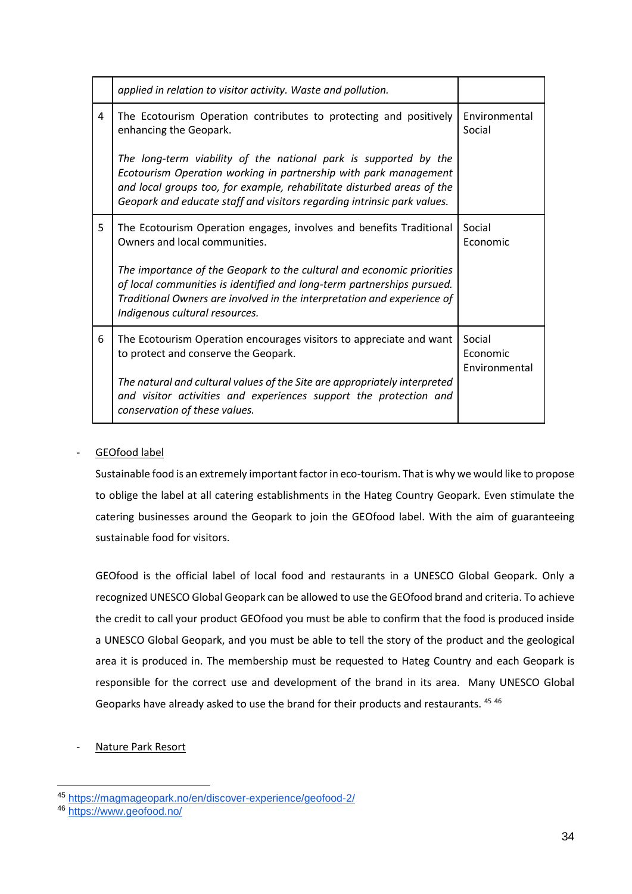|   | applied in relation to visitor activity. Waste and pollution.                                                                                                                                                                                                                             |                                     |
|---|-------------------------------------------------------------------------------------------------------------------------------------------------------------------------------------------------------------------------------------------------------------------------------------------|-------------------------------------|
| 4 | The Ecotourism Operation contributes to protecting and positively<br>enhancing the Geopark.                                                                                                                                                                                               | Environmental<br>Social             |
|   | The long-term viability of the national park is supported by the<br>Ecotourism Operation working in partnership with park management<br>and local groups too, for example, rehabilitate disturbed areas of the<br>Geopark and educate staff and visitors regarding intrinsic park values. |                                     |
| 5 | The Ecotourism Operation engages, involves and benefits Traditional<br>Owners and local communities.                                                                                                                                                                                      | Social<br>Economic                  |
|   | The importance of the Geopark to the cultural and economic priorities<br>of local communities is identified and long-term partnerships pursued.<br>Traditional Owners are involved in the interpretation and experience of<br>Indigenous cultural resources.                              |                                     |
| 6 | The Ecotourism Operation encourages visitors to appreciate and want<br>to protect and conserve the Geopark.                                                                                                                                                                               | Social<br>Economic<br>Environmental |
|   | The natural and cultural values of the Site are appropriately interpreted<br>and visitor activities and experiences support the protection and<br>conservation of these values.                                                                                                           |                                     |

# GEOfood label

Sustainable food is an extremely important factor in eco-tourism. That is why we would like to propose to oblige the label at all catering establishments in the Hateg Country Geopark. Even stimulate the catering businesses around the Geopark to join the GEOfood label. With the aim of guaranteeing sustainable food for visitors.

GEOfood is the official label of local food and restaurants in a UNESCO Global Geopark. Only a recognized UNESCO Global Geopark can be allowed to use the GEOfood brand and criteria. To achieve the credit to call your product GEOfood you must be able to confirm that the food is produced inside a UNESCO Global Geopark, and you must be able to tell the story of the product and the geological area it is produced in. The membership must be requested to Hateg Country and each Geopark is responsible for the correct use and development of the brand in its area. Many UNESCO Global Geoparks have already asked to use the brand for their products and restaurants. <sup>45</sup> <sup>46</sup>

# - Nature Park Resort

<sup>-</sup><sup>45</sup> <https://magmageopark.no/en/discover-experience/geofood-2/>

<sup>46</sup> <https://www.geofood.no/>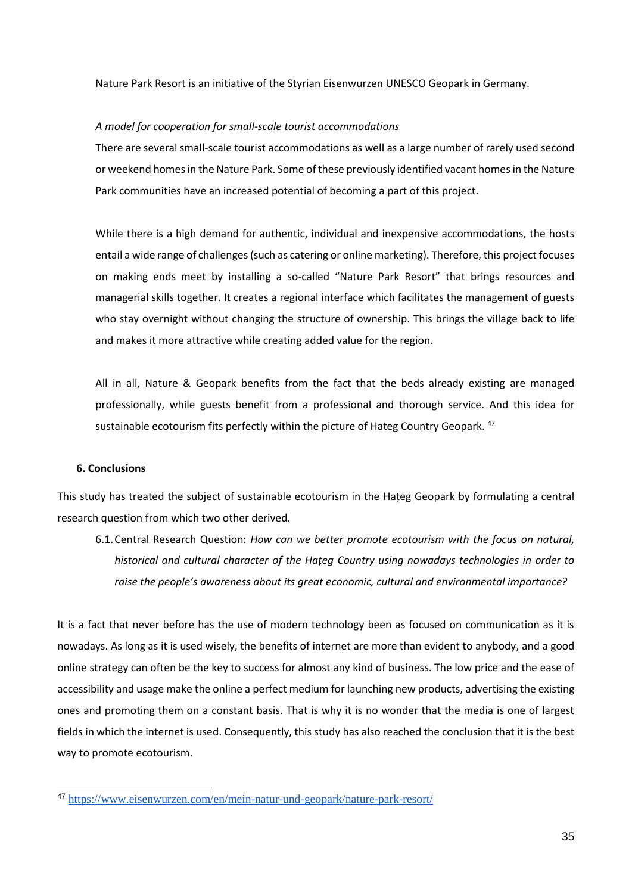Nature Park Resort is an initiative of the Styrian Eisenwurzen UNESCO Geopark in Germany.

## *A model for cooperation for small-scale tourist accommodations*

There are several small-scale tourist accommodations as well as a large number of rarely used second or weekend homes in the Nature Park. Some of these previously identified vacant homes in the Nature Park communities have an increased potential of becoming a part of this project.

While there is a high demand for authentic, individual and inexpensive accommodations, the hosts entail a wide range of challenges (such as catering or online marketing). Therefore, this project focuses on making ends meet by installing a so-called "Nature Park Resort" that brings resources and managerial skills together. It creates a regional interface which facilitates the management of guests who stay overnight without changing the structure of ownership. This brings the village back to life and makes it more attractive while creating added value for the region.

All in all, Nature & Geopark benefits from the fact that the beds already existing are managed professionally, while guests benefit from a professional and thorough service. And this idea for sustainable ecotourism fits perfectly within the picture of Hateg Country Geopark. <sup>47</sup>

#### <span id="page-35-0"></span>**6. Conclusions**

-

This study has treated the subject of sustainable ecotourism in the Hațeg Geopark by formulating a central research question from which two other derived.

6.1.Central Research Question: *How can we better promote ecotourism with the focus on natural, historical and cultural character of the Hațeg Country using nowadays technologies in order to raise the people's awareness about its great economic, cultural and environmental importance?*

It is a fact that never before has the use of modern technology been as focused on communication as it is nowadays. As long as it is used wisely, the benefits of internet are more than evident to anybody, and a good online strategy can often be the key to success for almost any kind of business. The low price and the ease of accessibility and usage make the online a perfect medium for launching new products, advertising the existing ones and promoting them on a constant basis. That is why it is no wonder that the media is one of largest fields in which the internet is used. Consequently, this study has also reached the conclusion that it is the best way to promote ecotourism.

<sup>47</sup> <https://www.eisenwurzen.com/en/mein-natur-und-geopark/nature-park-resort/>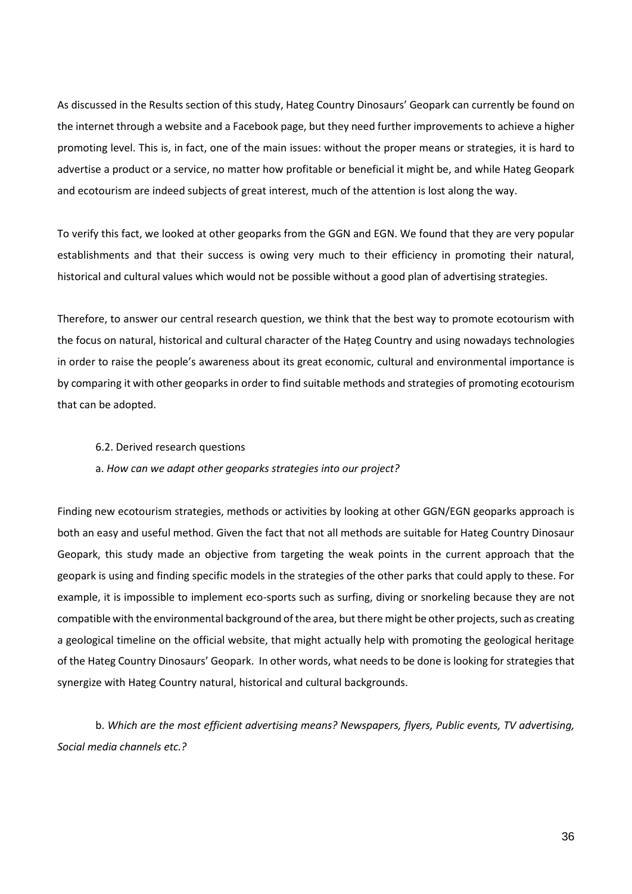As discussed in the Results section of this study, Hateg Country Dinosaurs' Geopark can currently be found on the internet through a website and a Facebook page, but they need further improvements to achieve a higher promoting level. This is, in fact, one of the main issues: without the proper means or strategies, it is hard to advertise a product or a service, no matter how profitable or beneficial it might be, and while Hateg Geopark and ecotourism are indeed subjects of great interest, much of the attention is lost along the way.

To verify this fact, we looked at other geoparks from the GGN and EGN. We found that they are very popular establishments and that their success is owing very much to their efficiency in promoting their natural, historical and cultural values which would not be possible without a good plan of advertising strategies.

Therefore, to answer our central research question, we think that the best way to promote ecotourism with the focus on natural, historical and cultural character of the Hațeg Country and using nowadays technologies in order to raise the people's awareness about its great economic, cultural and environmental importance is by comparing it with other geoparks in order to find suitable methods and strategies of promoting ecotourism that can be adopted.

### 6.2. Derived research questions

# a. *How can we adapt other geoparks strategies into our project?*

Finding new ecotourism strategies, methods or activities by looking at other GGN/EGN geoparks approach is both an easy and useful method. Given the fact that not all methods are suitable for Hateg Country Dinosaur Geopark, this study made an objective from targeting the weak points in the current approach that the geopark is using and finding specific models in the strategies of the other parks that could apply to these. For example, it is impossible to implement eco-sports such as surfing, diving or snorkeling because they are not compatible with the environmental background of the area, but there might be other projects, such as creating a geological timeline on the official website, that might actually help with promoting the geological heritage of the Hateg Country Dinosaurs' Geopark. In other words, what needs to be done is looking for strategies that synergize with Hateg Country natural, historical and cultural backgrounds.

b. *Which are the most efficient advertising means? Newspapers, flyers, Public events, TV advertising, Social media channels etc.?*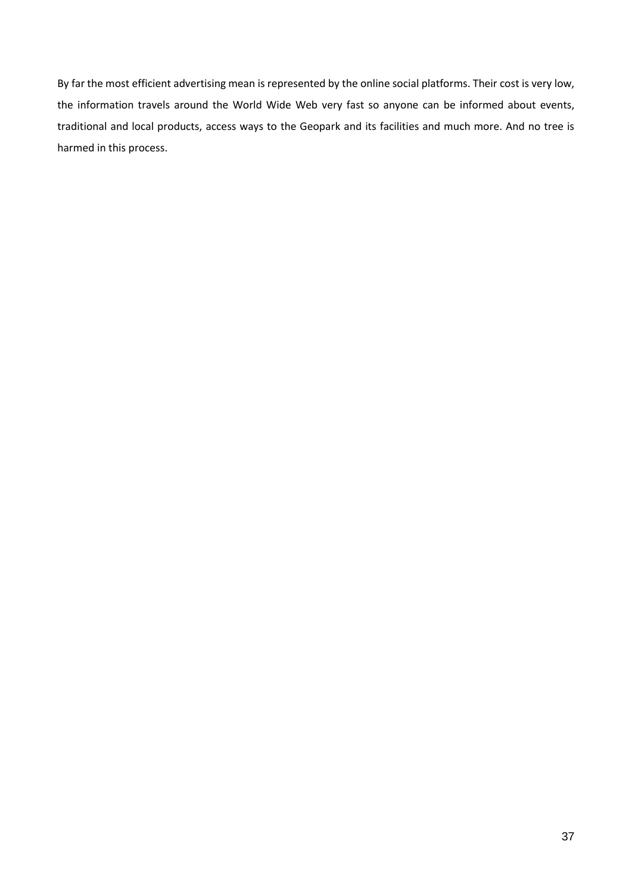By far the most efficient advertising mean is represented by the online social platforms. Their cost is very low, the information travels around the World Wide Web very fast so anyone can be informed about events, traditional and local products, access ways to the Geopark and its facilities and much more. And no tree is harmed in this process.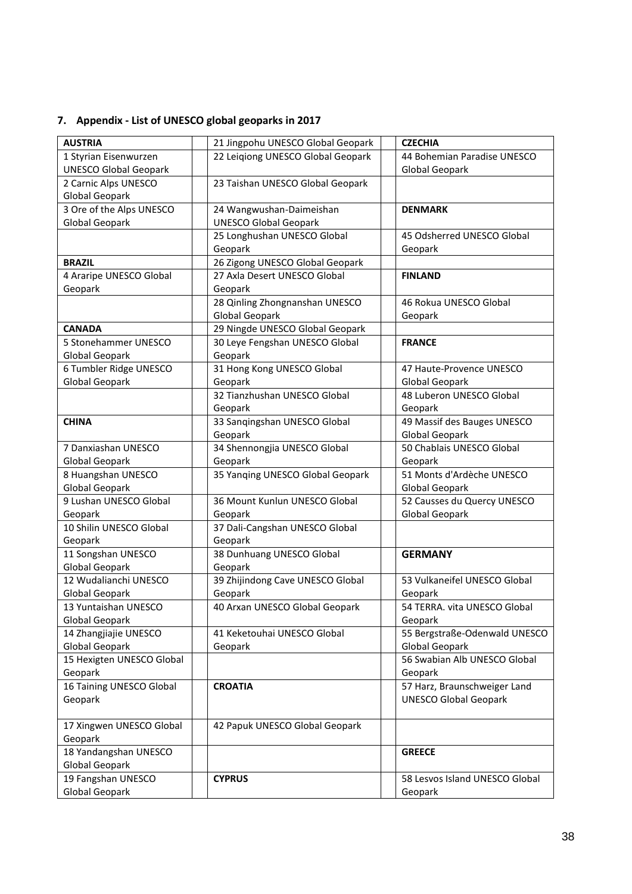# <span id="page-38-0"></span>**7. Appendix - List of UNESCO global geoparks in 2017**

| <b>AUSTRIA</b>               | 21 Jingpohu UNESCO Global Geopark | <b>CZECHIA</b>                 |
|------------------------------|-----------------------------------|--------------------------------|
| 1 Styrian Eisenwurzen        | 22 Leigiong UNESCO Global Geopark | 44 Bohemian Paradise UNESCO    |
| <b>UNESCO Global Geopark</b> |                                   | Global Geopark                 |
| 2 Carnic Alps UNESCO         | 23 Taishan UNESCO Global Geopark  |                                |
| Global Geopark               |                                   |                                |
| 3 Ore of the Alps UNESCO     | 24 Wangwushan-Daimeishan          | <b>DENMARK</b>                 |
| Global Geopark               | <b>UNESCO Global Geopark</b>      |                                |
|                              | 25 Longhushan UNESCO Global       | 45 Odsherred UNESCO Global     |
|                              | Geopark                           | Geopark                        |
| <b>BRAZIL</b>                | 26 Zigong UNESCO Global Geopark   |                                |
| 4 Araripe UNESCO Global      | 27 Axla Desert UNESCO Global      | <b>FINLAND</b>                 |
| Geopark                      | Geopark                           |                                |
|                              | 28 Qinling Zhongnanshan UNESCO    | 46 Rokua UNESCO Global         |
|                              | Global Geopark                    | Geopark                        |
| <b>CANADA</b>                | 29 Ningde UNESCO Global Geopark   |                                |
| 5 Stonehammer UNESCO         | 30 Leye Fengshan UNESCO Global    | <b>FRANCE</b>                  |
| Global Geopark               | Geopark                           |                                |
| 6 Tumbler Ridge UNESCO       | 31 Hong Kong UNESCO Global        | 47 Haute-Provence UNESCO       |
| Global Geopark               | Geopark                           | Global Geopark                 |
|                              | 32 Tianzhushan UNESCO Global      | 48 Luberon UNESCO Global       |
|                              | Geopark                           | Geopark                        |
| <b>CHINA</b>                 | 33 Sangingshan UNESCO Global      |                                |
|                              |                                   | 49 Massif des Bauges UNESCO    |
|                              | Geopark                           | Global Geopark                 |
| 7 Danxiashan UNESCO          | 34 Shennongjia UNESCO Global      | 50 Chablais UNESCO Global      |
| Global Geopark               | Geopark                           | Geopark                        |
| 8 Huangshan UNESCO           | 35 Yanqing UNESCO Global Geopark  | 51 Monts d'Ardèche UNESCO      |
| <b>Global Geopark</b>        |                                   | Global Geopark                 |
| 9 Lushan UNESCO Global       | 36 Mount Kunlun UNESCO Global     | 52 Causses du Quercy UNESCO    |
| Geopark                      | Geopark                           | Global Geopark                 |
| 10 Shilin UNESCO Global      | 37 Dali-Cangshan UNESCO Global    |                                |
| Geopark                      | Geopark                           |                                |
| 11 Songshan UNESCO           | 38 Dunhuang UNESCO Global         | <b>GERMANY</b>                 |
| Global Geopark               | Geopark                           |                                |
| 12 Wudalianchi UNESCO        | 39 Zhijindong Cave UNESCO Global  | 53 Vulkaneifel UNESCO Global   |
| Global Geopark               | Geopark                           | Geopark                        |
| 13 Yuntaishan UNESCO         | 40 Arxan UNESCO Global Geopark    | 54 TERRA. vita UNESCO Global   |
| Global Geopark               |                                   | Geopark                        |
| 14 Zhangjiajie UNESCO        | 41 Keketouhai UNESCO Global       | 55 Bergstraße-Odenwald UNESCO  |
| Global Geopark               | Geopark                           | Global Geopark                 |
| 15 Hexigten UNESCO Global    |                                   | 56 Swabian Alb UNESCO Global   |
| Geopark                      |                                   | Geopark                        |
| 16 Taining UNESCO Global     | <b>CROATIA</b>                    | 57 Harz, Braunschweiger Land   |
| Geopark                      |                                   | <b>UNESCO Global Geopark</b>   |
|                              |                                   |                                |
| 17 Xingwen UNESCO Global     | 42 Papuk UNESCO Global Geopark    |                                |
| Geopark                      |                                   |                                |
| 18 Yandangshan UNESCO        |                                   | <b>GREECE</b>                  |
| Global Geopark               |                                   |                                |
| 19 Fangshan UNESCO           | <b>CYPRUS</b>                     | 58 Lesvos Island UNESCO Global |
| Global Geopark               |                                   | Geopark                        |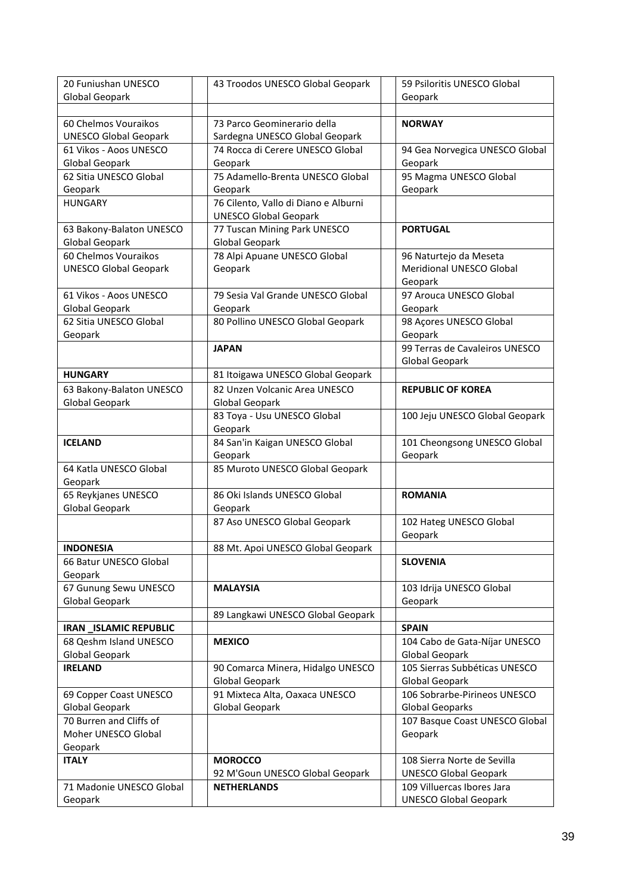| 20 Funiushan UNESCO           | 43 Troodos UNESCO Global Geopark     | 59 Psiloritis UNESCO Global    |
|-------------------------------|--------------------------------------|--------------------------------|
| Global Geopark                |                                      | Geopark                        |
|                               |                                      |                                |
| 60 Chelmos Vouraikos          | 73 Parco Geominerario della          | <b>NORWAY</b>                  |
| <b>UNESCO Global Geopark</b>  | Sardegna UNESCO Global Geopark       |                                |
| 61 Vikos - Aoos UNESCO        | 74 Rocca di Cerere UNESCO Global     | 94 Gea Norvegica UNESCO Global |
| Global Geopark                | Geopark                              | Geopark                        |
| 62 Sitia UNESCO Global        | 75 Adamello-Brenta UNESCO Global     | 95 Magma UNESCO Global         |
| Geopark                       | Geopark                              | Geopark                        |
| <b>HUNGARY</b>                | 76 Cilento, Vallo di Diano e Alburni |                                |
|                               | <b>UNESCO Global Geopark</b>         |                                |
| 63 Bakony-Balaton UNESCO      | 77 Tuscan Mining Park UNESCO         | <b>PORTUGAL</b>                |
| <b>Global Geopark</b>         | Global Geopark                       |                                |
| 60 Chelmos Vouraikos          |                                      |                                |
|                               | 78 Alpi Apuane UNESCO Global         | 96 Naturtejo da Meseta         |
| <b>UNESCO Global Geopark</b>  | Geopark                              | Meridional UNESCO Global       |
|                               |                                      | Geopark                        |
| 61 Vikos - Aoos UNESCO        | 79 Sesia Val Grande UNESCO Global    | 97 Arouca UNESCO Global        |
| Global Geopark                | Geopark                              | Geopark                        |
| 62 Sitia UNESCO Global        | 80 Pollino UNESCO Global Geopark     | 98 Açores UNESCO Global        |
| Geopark                       |                                      | Geopark                        |
|                               | <b>JAPAN</b>                         | 99 Terras de Cavaleiros UNESCO |
|                               |                                      | Global Geopark                 |
| <b>HUNGARY</b>                | 81 Itoigawa UNESCO Global Geopark    |                                |
| 63 Bakony-Balaton UNESCO      | 82 Unzen Volcanic Area UNESCO        | <b>REPUBLIC OF KOREA</b>       |
| Global Geopark                | Global Geopark                       |                                |
|                               | 83 Toya - Usu UNESCO Global          | 100 Jeju UNESCO Global Geopark |
|                               | Geopark                              |                                |
| <b>ICELAND</b>                | 84 San'in Kaigan UNESCO Global       | 101 Cheongsong UNESCO Global   |
|                               | Geopark                              | Geopark                        |
| 64 Katla UNESCO Global        | 85 Muroto UNESCO Global Geopark      |                                |
|                               |                                      |                                |
| Geopark                       | 86 Oki Islands UNESCO Global         |                                |
| 65 Reykjanes UNESCO           |                                      | <b>ROMANIA</b>                 |
| Global Geopark                | Geopark                              |                                |
|                               | 87 Aso UNESCO Global Geopark         | 102 Hateg UNESCO Global        |
|                               |                                      | Geopark                        |
| <b>INDONESIA</b>              | 88 Mt. Apoi UNESCO Global Geopark    |                                |
| 66 Batur UNESCO Global        |                                      | <b>SLOVENIA</b>                |
| Geopark                       |                                      |                                |
| 67 Gunung Sewu UNESCO         | <b>MALAYSIA</b>                      | 103 Idrija UNESCO Global       |
| Global Geopark                |                                      | Geopark                        |
|                               | 89 Langkawi UNESCO Global Geopark    |                                |
| <b>IRAN _ISLAMIC REPUBLIC</b> |                                      | <b>SPAIN</b>                   |
| 68 Qeshm Island UNESCO        | <b>MEXICO</b>                        | 104 Cabo de Gata-Níjar UNESCO  |
| Global Geopark                |                                      | Global Geopark                 |
| <b>IRELAND</b>                | 90 Comarca Minera, Hidalgo UNESCO    | 105 Sierras Subbéticas UNESCO  |
|                               | <b>Global Geopark</b>                | Global Geopark                 |
| 69 Copper Coast UNESCO        | 91 Mixteca Alta, Oaxaca UNESCO       | 106 Sobrarbe-Pirineos UNESCO   |
| Global Geopark                | Global Geopark                       | Global Geoparks                |
| 70 Burren and Cliffs of       |                                      | 107 Basque Coast UNESCO Global |
| Moher UNESCO Global           |                                      | Geopark                        |
|                               |                                      |                                |
| Geopark                       |                                      |                                |
| <b>ITALY</b>                  | <b>MOROCCO</b>                       | 108 Sierra Norte de Sevilla    |
|                               | 92 M'Goun UNESCO Global Geopark      | <b>UNESCO Global Geopark</b>   |
| 71 Madonie UNESCO Global      | <b>NETHERLANDS</b>                   | 109 Villuercas Ibores Jara     |
| Geopark                       |                                      | <b>UNESCO Global Geopark</b>   |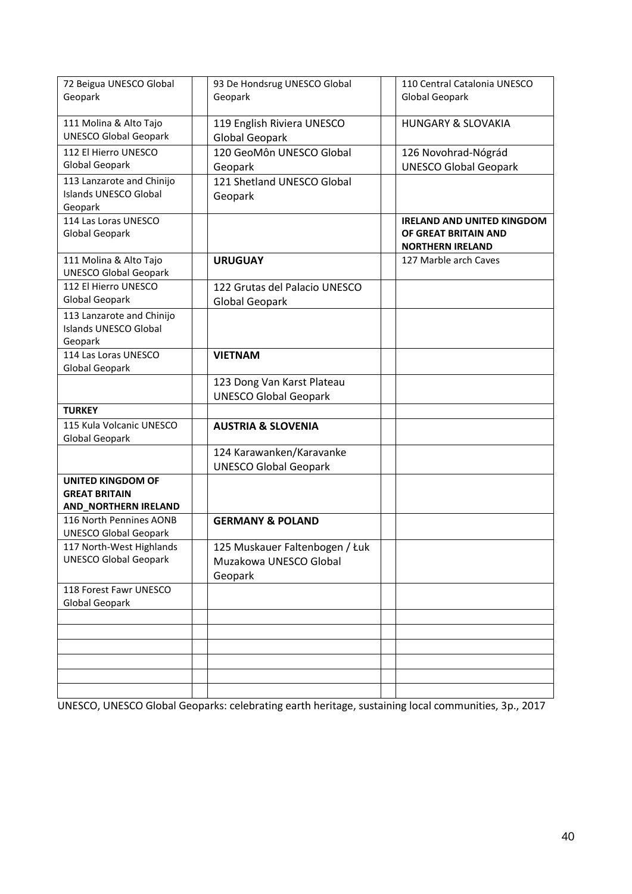| 72 Beigua UNESCO Global      | 93 De Hondsrug UNESCO Global   | 110 Central Catalonia UNESCO      |
|------------------------------|--------------------------------|-----------------------------------|
| Geopark                      | Geopark                        | Global Geopark                    |
|                              |                                |                                   |
| 111 Molina & Alto Tajo       | 119 English Riviera UNESCO     | <b>HUNGARY &amp; SLOVAKIA</b>     |
|                              |                                |                                   |
| <b>UNESCO Global Geopark</b> | <b>Global Geopark</b>          |                                   |
| 112 El Hierro UNESCO         | 120 GeoMôn UNESCO Global       | 126 Novohrad-Nógrád               |
| Global Geopark               | Geopark                        | <b>UNESCO Global Geopark</b>      |
| 113 Lanzarote and Chinijo    | 121 Shetland UNESCO Global     |                                   |
| <b>Islands UNESCO Global</b> |                                |                                   |
|                              | Geopark                        |                                   |
| Geopark                      |                                |                                   |
| 114 Las Loras UNESCO         |                                | <b>IRELAND AND UNITED KINGDOM</b> |
| <b>Global Geopark</b>        |                                | OF GREAT BRITAIN AND              |
|                              |                                | <b>NORTHERN IRELAND</b>           |
| 111 Molina & Alto Tajo       | <b>URUGUAY</b>                 | 127 Marble arch Caves             |
| <b>UNESCO Global Geopark</b> |                                |                                   |
| 112 El Hierro UNESCO         | 122 Grutas del Palacio UNESCO  |                                   |
| Global Geopark               |                                |                                   |
|                              | Global Geopark                 |                                   |
| 113 Lanzarote and Chinijo    |                                |                                   |
| <b>Islands UNESCO Global</b> |                                |                                   |
| Geopark                      |                                |                                   |
| 114 Las Loras UNESCO         | <b>VIETNAM</b>                 |                                   |
| Global Geopark               |                                |                                   |
|                              | 123 Dong Van Karst Plateau     |                                   |
|                              |                                |                                   |
|                              | <b>UNESCO Global Geopark</b>   |                                   |
| <b>TURKEY</b>                |                                |                                   |
| 115 Kula Volcanic UNESCO     | <b>AUSTRIA &amp; SLOVENIA</b>  |                                   |
| Global Geopark               |                                |                                   |
|                              | 124 Karawanken/Karavanke       |                                   |
|                              | <b>UNESCO Global Geopark</b>   |                                   |
|                              |                                |                                   |
| <b>UNITED KINGDOM OF</b>     |                                |                                   |
| <b>GREAT BRITAIN</b>         |                                |                                   |
| AND NORTHERN IRELAND         |                                |                                   |
| 116 North Pennines AONB      | <b>GERMANY &amp; POLAND</b>    |                                   |
| <b>UNESCO Global Geopark</b> |                                |                                   |
| 117 North-West Highlands     | 125 Muskauer Faltenbogen / Łuk |                                   |
| <b>UNESCO Global Geopark</b> | Muzakowa UNESCO Global         |                                   |
|                              |                                |                                   |
|                              | Geopark                        |                                   |
| 118 Forest Fawr UNESCO       |                                |                                   |
| Global Geopark               |                                |                                   |
|                              |                                |                                   |
|                              |                                |                                   |
|                              |                                |                                   |
|                              |                                |                                   |
|                              |                                |                                   |
|                              |                                |                                   |
|                              |                                |                                   |

UNESCO, UNESCO Global Geoparks: celebrating earth heritage, sustaining local communities, 3p., 2017